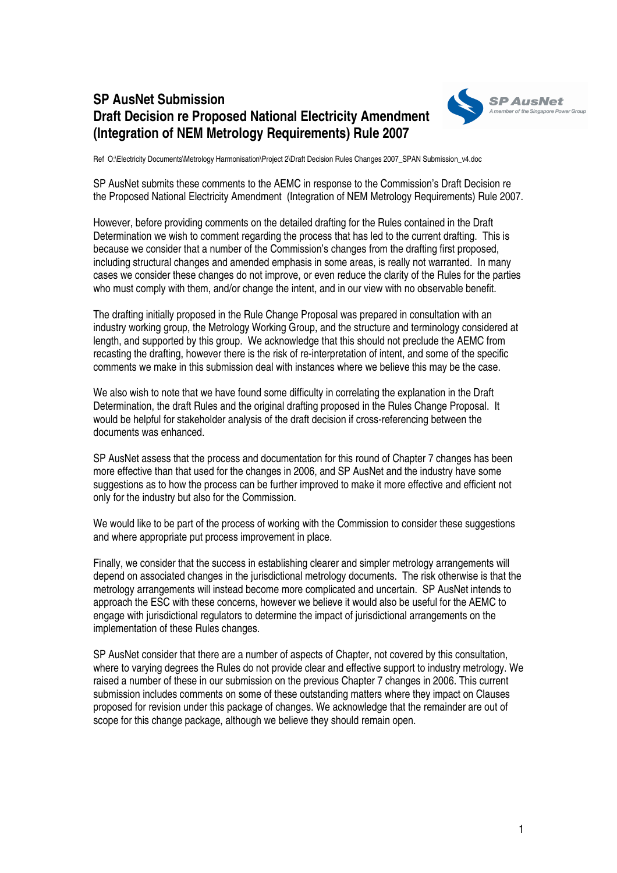## **SP AusNet Submission Draft Decision re Proposed National Electricity Amendment (Integration of NEM Metrology Requirements) Rule 2007**



Ref O:\Electricity Documents\Metrology Harmonisation\Project 2\Draft Decision Rules Changes 2007\_SPAN Submission\_v4.doc

SP AusNet submits these comments to the AEMC in response to the Commission's Draft Decision re the Proposed National Electricity Amendment (Integration of NEM Metrology Requirements) Rule 2007.

However, before providing comments on the detailed drafting for the Rules contained in the Draft Determination we wish to comment regarding the process that has led to the current drafting. This is because we consider that a number of the Commission's changes from the drafting first proposed, including structural changes and amended emphasis in some areas, is really not warranted. In many cases we consider these changes do not improve, or even reduce the clarity of the Rules for the parties who must comply with them, and/or change the intent, and in our view with no observable benefit.

The drafting initially proposed in the Rule Change Proposal was prepared in consultation with an industry working group, the Metrology Working Group, and the structure and terminology considered at length, and supported by this group. We acknowledge that this should not preclude the AEMC from recasting the drafting, however there is the risk of re-interpretation of intent, and some of the specific comments we make in this submission deal with instances where we believe this may be the case.

We also wish to note that we have found some difficulty in correlating the explanation in the Draft Determination, the draft Rules and the original drafting proposed in the Rules Change Proposal. It would be helpful for stakeholder analysis of the draft decision if cross-referencing between the documents was enhanced.

SP AusNet assess that the process and documentation for this round of Chapter 7 changes has been more effective than that used for the changes in 2006, and SP AusNet and the industry have some suggestions as to how the process can be further improved to make it more effective and efficient not only for the industry but also for the Commission.

We would like to be part of the process of working with the Commission to consider these suggestions and where appropriate put process improvement in place.

Finally, we consider that the success in establishing clearer and simpler metrology arrangements will depend on associated changes in the jurisdictional metrology documents. The risk otherwise is that the metrology arrangements will instead become more complicated and uncertain. SP AusNet intends to approach the ESC with these concerns, however we believe it would also be useful for the AEMC to engage with jurisdictional regulators to determine the impact of jurisdictional arrangements on the implementation of these Rules changes.

SP AusNet consider that there are a number of aspects of Chapter, not covered by this consultation, where to varying degrees the Rules do not provide clear and effective support to industry metrology. We raised a number of these in our submission on the previous Chapter 7 changes in 2006. This current submission includes comments on some of these outstanding matters where they impact on Clauses proposed for revision under this package of changes. We acknowledge that the remainder are out of scope for this change package, although we believe they should remain open.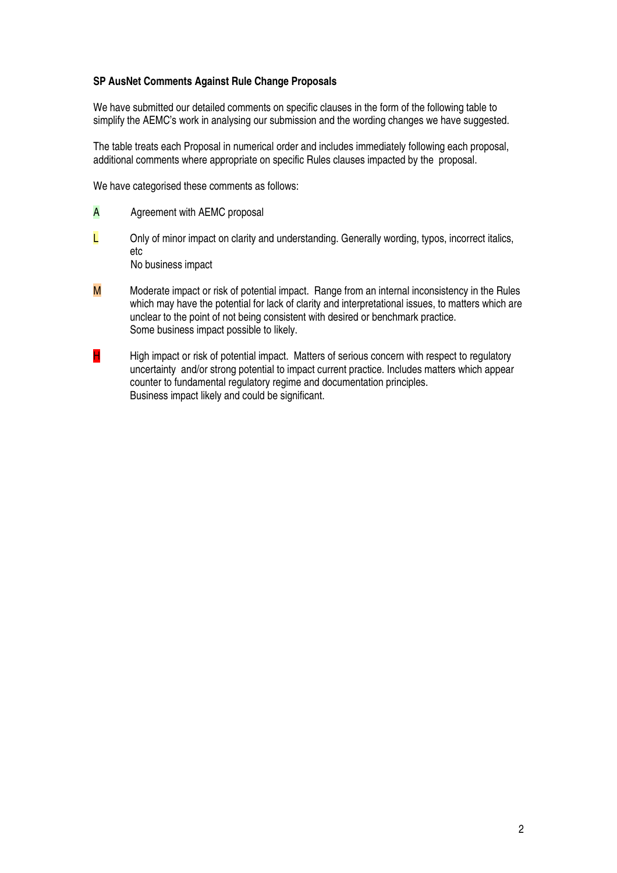## **SP AusNet Comments Against Rule Change Proposals**

We have submitted our detailed comments on specific clauses in the form of the following table to simplify the AEMC's work in analysing our submission and the wording changes we have suggested.

The table treats each Proposal in numerical order and includes immediately following each proposal, additional comments where appropriate on specific Rules clauses impacted by the proposal.

We have categorised these comments as follows:

- A Agreement with AEMC proposal
- $L$  Only of minor impact on clarity and understanding. Generally wording, typos, incorrect italics, etc No business impact
- $M$  Moderate impact or risk of potential impact. Range from an internal inconsistency in the Rules which may have the potential for lack of clarity and interpretational issues, to matters which are unclear to the point of not being consistent with desired or benchmark practice. Some business impact possible to likely.
- $H$  High impact or risk of potential impact. Matters of serious concern with respect to regulatory uncertainty and/or strong potential to impact current practice. Includes matters which appear counter to fundamental regulatory regime and documentation principles. Business impact likely and could be significant.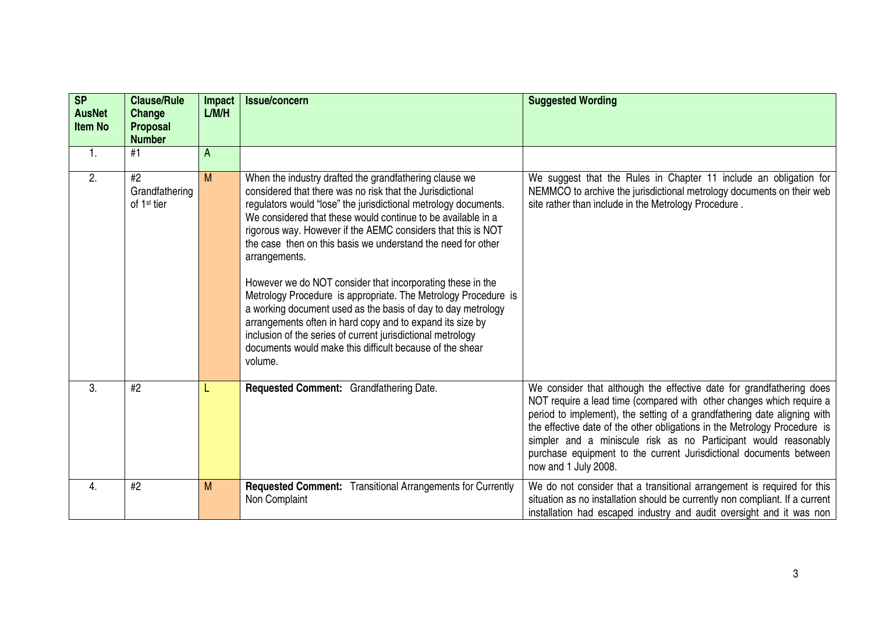| SP<br><b>AusNet</b><br>Item No | <b>Clause/Rule</b><br>Change<br><b>Proposal</b><br><b>Number</b> | Impact<br>L/M/H | Issue/concern                                                                                                                                                                                                                                                                                                                                                                                                                                                                                                                                                                                                                                                                                                                                                                                              | <b>Suggested Wording</b>                                                                                                                                                                                                                                                                                                                                                                                                                                               |
|--------------------------------|------------------------------------------------------------------|-----------------|------------------------------------------------------------------------------------------------------------------------------------------------------------------------------------------------------------------------------------------------------------------------------------------------------------------------------------------------------------------------------------------------------------------------------------------------------------------------------------------------------------------------------------------------------------------------------------------------------------------------------------------------------------------------------------------------------------------------------------------------------------------------------------------------------------|------------------------------------------------------------------------------------------------------------------------------------------------------------------------------------------------------------------------------------------------------------------------------------------------------------------------------------------------------------------------------------------------------------------------------------------------------------------------|
| 1.                             | #1                                                               | A               |                                                                                                                                                                                                                                                                                                                                                                                                                                                                                                                                                                                                                                                                                                                                                                                                            |                                                                                                                                                                                                                                                                                                                                                                                                                                                                        |
| 2.                             | #2<br>Grandfathering<br>of 1 <sup>st</sup> tier                  | M               | When the industry drafted the grandfathering clause we<br>considered that there was no risk that the Jurisdictional<br>regulators would "lose" the jurisdictional metrology documents.<br>We considered that these would continue to be available in a<br>rigorous way. However if the AEMC considers that this is NOT<br>the case then on this basis we understand the need for other<br>arrangements.<br>However we do NOT consider that incorporating these in the<br>Metrology Procedure is appropriate. The Metrology Procedure is<br>a working document used as the basis of day to day metrology<br>arrangements often in hard copy and to expand its size by<br>inclusion of the series of current jurisdictional metrology<br>documents would make this difficult because of the shear<br>volume. | We suggest that the Rules in Chapter 11 include an obligation for<br>NEMMCO to archive the jurisdictional metrology documents on their web<br>site rather than include in the Metrology Procedure.                                                                                                                                                                                                                                                                     |
| 3.                             | #2                                                               |                 | Requested Comment: Grandfathering Date.                                                                                                                                                                                                                                                                                                                                                                                                                                                                                                                                                                                                                                                                                                                                                                    | We consider that although the effective date for grandfathering does<br>NOT require a lead time (compared with other changes which require a<br>period to implement), the setting of a grandfathering date aligning with<br>the effective date of the other obligations in the Metrology Procedure is<br>simpler and a miniscule risk as no Participant would reasonably<br>purchase equipment to the current Jurisdictional documents between<br>now and 1 July 2008. |
| 4.                             | #2                                                               | M               | Requested Comment: Transitional Arrangements for Currently<br>Non Complaint                                                                                                                                                                                                                                                                                                                                                                                                                                                                                                                                                                                                                                                                                                                                | We do not consider that a transitional arrangement is required for this<br>situation as no installation should be currently non compliant. If a current<br>installation had escaped industry and audit oversight and it was non                                                                                                                                                                                                                                        |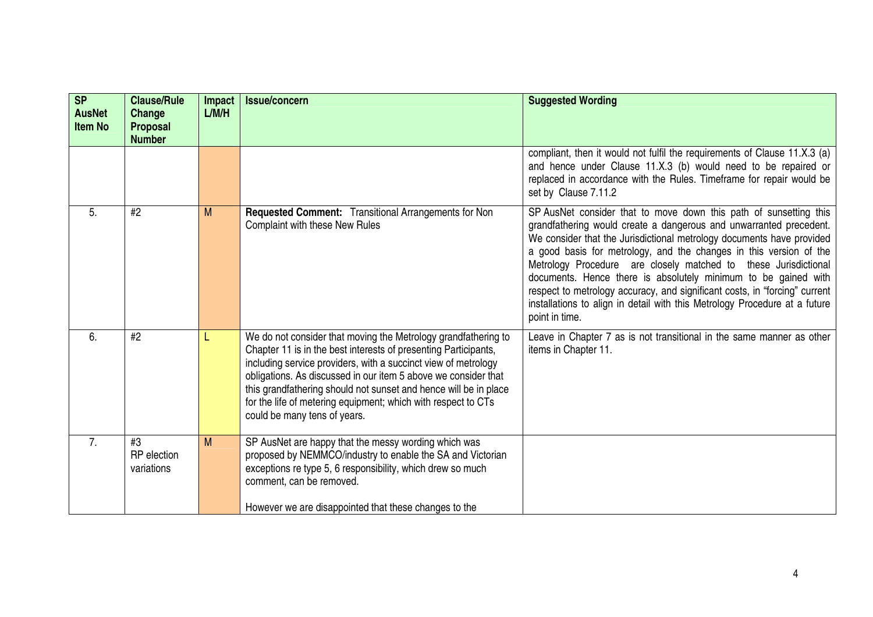| SP<br><b>AusNet</b><br><b>Item No</b> | <b>Clause/Rule</b><br>Change<br><b>Proposal</b><br><b>Number</b> | Impact<br>L/M/H | <b>Issue/concern</b>                                                                                                                                                                                                                                                                                                                                                                                                                       | <b>Suggested Wording</b>                                                                                                                                                                                                                                                                                                                                                                                                                                                                                                                                                                                  |
|---------------------------------------|------------------------------------------------------------------|-----------------|--------------------------------------------------------------------------------------------------------------------------------------------------------------------------------------------------------------------------------------------------------------------------------------------------------------------------------------------------------------------------------------------------------------------------------------------|-----------------------------------------------------------------------------------------------------------------------------------------------------------------------------------------------------------------------------------------------------------------------------------------------------------------------------------------------------------------------------------------------------------------------------------------------------------------------------------------------------------------------------------------------------------------------------------------------------------|
|                                       |                                                                  |                 |                                                                                                                                                                                                                                                                                                                                                                                                                                            | compliant, then it would not fulfil the requirements of Clause 11.X.3 (a)<br>and hence under Clause 11.X.3 (b) would need to be repaired or<br>replaced in accordance with the Rules. Timeframe for repair would be<br>set by Clause 7.11.2                                                                                                                                                                                                                                                                                                                                                               |
| 5.                                    | #2                                                               | M               | Requested Comment: Transitional Arrangements for Non<br>Complaint with these New Rules                                                                                                                                                                                                                                                                                                                                                     | SP AusNet consider that to move down this path of sunsetting this<br>grandfathering would create a dangerous and unwarranted precedent.<br>We consider that the Jurisdictional metrology documents have provided<br>a good basis for metrology, and the changes in this version of the<br>Metrology Procedure are closely matched to these Jurisdictional<br>documents. Hence there is absolutely minimum to be gained with<br>respect to metrology accuracy, and significant costs, in "forcing" current<br>installations to align in detail with this Metrology Procedure at a future<br>point in time. |
| 6.                                    | #2                                                               |                 | We do not consider that moving the Metrology grandfathering to<br>Chapter 11 is in the best interests of presenting Participants,<br>including service providers, with a succinct view of metrology<br>obligations. As discussed in our item 5 above we consider that<br>this grandfathering should not sunset and hence will be in place<br>for the life of metering equipment; which with respect to CTs<br>could be many tens of years. | Leave in Chapter 7 as is not transitional in the same manner as other<br>items in Chapter 11.                                                                                                                                                                                                                                                                                                                                                                                                                                                                                                             |
| 7.                                    | #3<br><b>RP</b> election<br>variations                           | M               | SP AusNet are happy that the messy wording which was<br>proposed by NEMMCO/industry to enable the SA and Victorian<br>exceptions re type 5, 6 responsibility, which drew so much<br>comment, can be removed.<br>However we are disappointed that these changes to the                                                                                                                                                                      |                                                                                                                                                                                                                                                                                                                                                                                                                                                                                                                                                                                                           |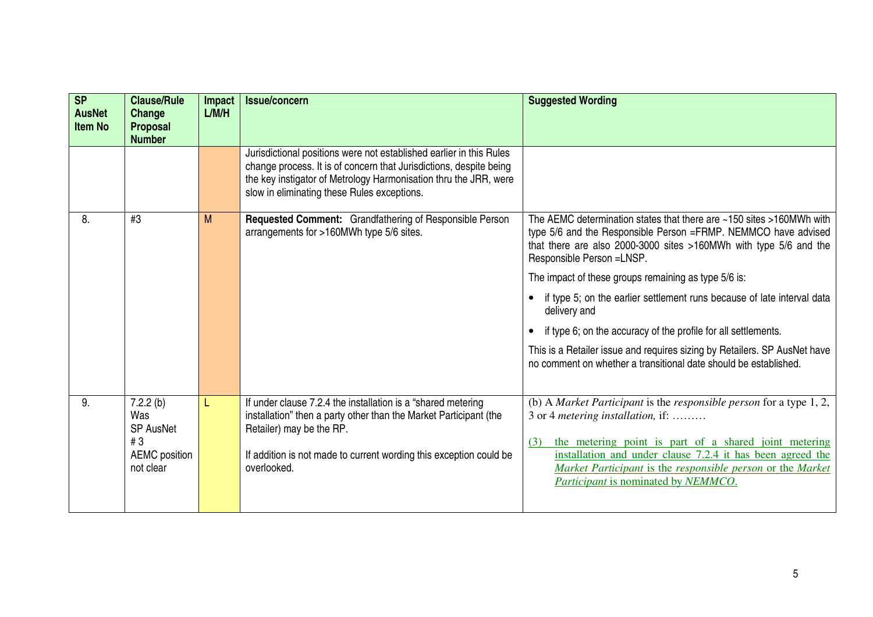| <b>SP</b><br><b>AusNet</b><br><b>Item No</b> | <b>Clause/Rule</b><br>Change<br><b>Proposal</b><br><b>Number</b>               | <b>Impact</b><br>L/M/H | <b>Issue/concern</b>                                                                                                                                                                                                                                         | <b>Suggested Wording</b>                                                                                                                                                                                                                                                                                                                   |
|----------------------------------------------|--------------------------------------------------------------------------------|------------------------|--------------------------------------------------------------------------------------------------------------------------------------------------------------------------------------------------------------------------------------------------------------|--------------------------------------------------------------------------------------------------------------------------------------------------------------------------------------------------------------------------------------------------------------------------------------------------------------------------------------------|
|                                              |                                                                                |                        | Jurisdictional positions were not established earlier in this Rules<br>change process. It is of concern that Jurisdictions, despite being<br>the key instigator of Metrology Harmonisation thru the JRR, were<br>slow in eliminating these Rules exceptions. |                                                                                                                                                                                                                                                                                                                                            |
| 8.                                           | #3                                                                             | M                      | Requested Comment: Grandfathering of Responsible Person<br>arrangements for >160MWh type 5/6 sites.                                                                                                                                                          | The AEMC determination states that there are ~150 sites >160MWh with<br>type 5/6 and the Responsible Person = FRMP. NEMMCO have advised<br>that there are also 2000-3000 sites >160MWh with type 5/6 and the<br>Responsible Person = LNSP.                                                                                                 |
|                                              |                                                                                |                        |                                                                                                                                                                                                                                                              | The impact of these groups remaining as type 5/6 is:                                                                                                                                                                                                                                                                                       |
|                                              |                                                                                |                        |                                                                                                                                                                                                                                                              | if type 5; on the earlier settlement runs because of late interval data<br>delivery and                                                                                                                                                                                                                                                    |
|                                              |                                                                                |                        |                                                                                                                                                                                                                                                              | if type 6; on the accuracy of the profile for all settlements.                                                                                                                                                                                                                                                                             |
|                                              |                                                                                |                        |                                                                                                                                                                                                                                                              | This is a Retailer issue and requires sizing by Retailers. SP AusNet have<br>no comment on whether a transitional date should be established.                                                                                                                                                                                              |
| 9.                                           | 7.2.2(b)<br>Was<br><b>SP AusNet</b><br>#3<br><b>AEMC</b> position<br>not clear |                        | If under clause 7.2.4 the installation is a "shared metering<br>installation" then a party other than the Market Participant (the<br>Retailer) may be the RP.<br>If addition is not made to current wording this exception could be<br>overlooked.           | (b) A Market Participant is the responsible person for a type $1, 2,$<br>3 or 4 metering installation, if:<br>(3) the metering point is part of a shared joint metering<br>installation and under clause 7.2.4 it has been agreed the<br>Market Participant is the responsible person or the Market<br>Participant is nominated by NEMMCO. |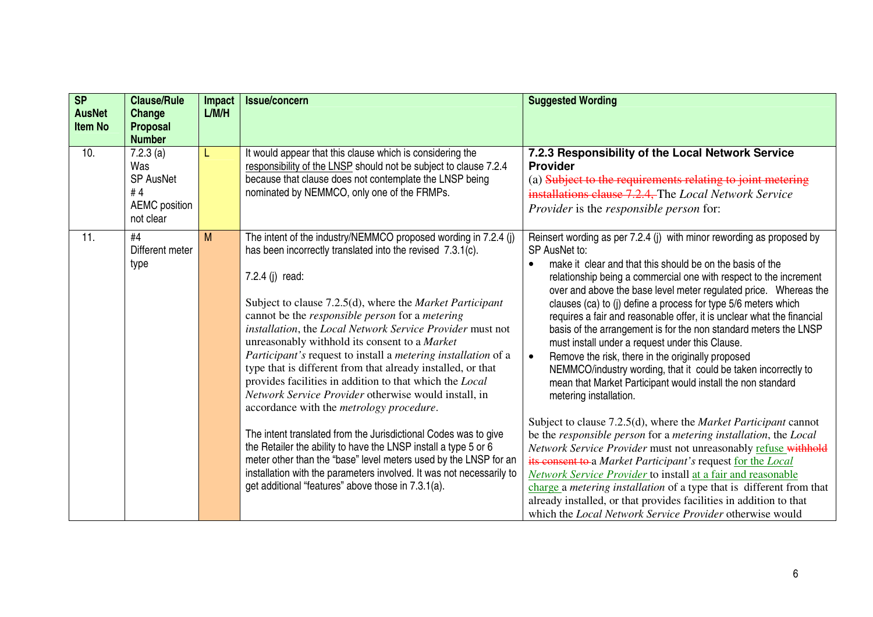| <b>SP</b><br><b>AusNet</b><br><b>Item No</b> | <b>Clause/Rule</b><br>Change<br><b>Proposal</b><br><b>Number</b>               | Impact<br>L/M/H | <b>Issue/concern</b>                                                                                                                                                                                                                                                                                                                                                                                                                                                                                                                                                                                                                                                                                                                                                                                                                                                                                                                                                                                                                             | <b>Suggested Wording</b>                                                                                                                                                                                                                                                                                                                                                                                                                                                                                                                                                                                                                                                                                                                                                                                                                                                                                                                                                                                                                                                                                                                                                                                                                                                                                                                 |
|----------------------------------------------|--------------------------------------------------------------------------------|-----------------|--------------------------------------------------------------------------------------------------------------------------------------------------------------------------------------------------------------------------------------------------------------------------------------------------------------------------------------------------------------------------------------------------------------------------------------------------------------------------------------------------------------------------------------------------------------------------------------------------------------------------------------------------------------------------------------------------------------------------------------------------------------------------------------------------------------------------------------------------------------------------------------------------------------------------------------------------------------------------------------------------------------------------------------------------|------------------------------------------------------------------------------------------------------------------------------------------------------------------------------------------------------------------------------------------------------------------------------------------------------------------------------------------------------------------------------------------------------------------------------------------------------------------------------------------------------------------------------------------------------------------------------------------------------------------------------------------------------------------------------------------------------------------------------------------------------------------------------------------------------------------------------------------------------------------------------------------------------------------------------------------------------------------------------------------------------------------------------------------------------------------------------------------------------------------------------------------------------------------------------------------------------------------------------------------------------------------------------------------------------------------------------------------|
| 10.                                          | 7.2.3(a)<br>Was<br><b>SP AusNet</b><br>#4<br><b>AEMC</b> position<br>not clear |                 | It would appear that this clause which is considering the<br>responsibility of the LNSP should not be subject to clause 7.2.4<br>because that clause does not contemplate the LNSP being<br>nominated by NEMMCO, only one of the FRMPs.                                                                                                                                                                                                                                                                                                                                                                                                                                                                                                                                                                                                                                                                                                                                                                                                          | 7.2.3 Responsibility of the Local Network Service<br><b>Provider</b><br>(a) Subject to the requirements relating to joint metering<br>installations clause 7.2.4, The Local Network Service<br><i>Provider</i> is the <i>responsible person</i> for:                                                                                                                                                                                                                                                                                                                                                                                                                                                                                                                                                                                                                                                                                                                                                                                                                                                                                                                                                                                                                                                                                     |
| 11.                                          | #4<br>Different meter<br>type                                                  | M               | The intent of the industry/NEMMCO proposed wording in 7.2.4 (j)<br>has been incorrectly translated into the revised 7.3.1(c).<br>7.2.4 (j) read:<br>Subject to clause 7.2.5(d), where the <i>Market Participant</i><br>cannot be the <i>responsible person</i> for a <i>metering</i><br>installation, the Local Network Service Provider must not<br>unreasonably withhold its consent to a Market<br>Participant's request to install a metering installation of a<br>type that is different from that already installed, or that<br>provides facilities in addition to that which the Local<br>Network Service Provider otherwise would install, in<br>accordance with the <i>metrology</i> procedure.<br>The intent translated from the Jurisdictional Codes was to give<br>the Retailer the ability to have the LNSP install a type 5 or 6<br>meter other than the "base" level meters used by the LNSP for an<br>installation with the parameters involved. It was not necessarily to<br>get additional "features" above those in 7.3.1(a). | Reinsert wording as per 7.2.4 (j) with minor rewording as proposed by<br>SP AusNet to:<br>make it clear and that this should be on the basis of the<br>relationship being a commercial one with respect to the increment<br>over and above the base level meter regulated price. Whereas the<br>clauses (ca) to (j) define a process for type 5/6 meters which<br>requires a fair and reasonable offer, it is unclear what the financial<br>basis of the arrangement is for the non standard meters the LNSP<br>must install under a request under this Clause.<br>Remove the risk, there in the originally proposed<br>NEMMCO/industry wording, that it could be taken incorrectly to<br>mean that Market Participant would install the non standard<br>metering installation.<br>Subject to clause 7.2.5(d), where the Market Participant cannot<br>be the responsible person for a metering installation, the Local<br>Network Service Provider must not unreasonably refuse withhold<br>its consent to a Market Participant's request for the Local<br>Network Service Provider to install at a fair and reasonable<br>charge a metering installation of a type that is different from that<br>already installed, or that provides facilities in addition to that<br>which the <i>Local Network Service Provider</i> otherwise would |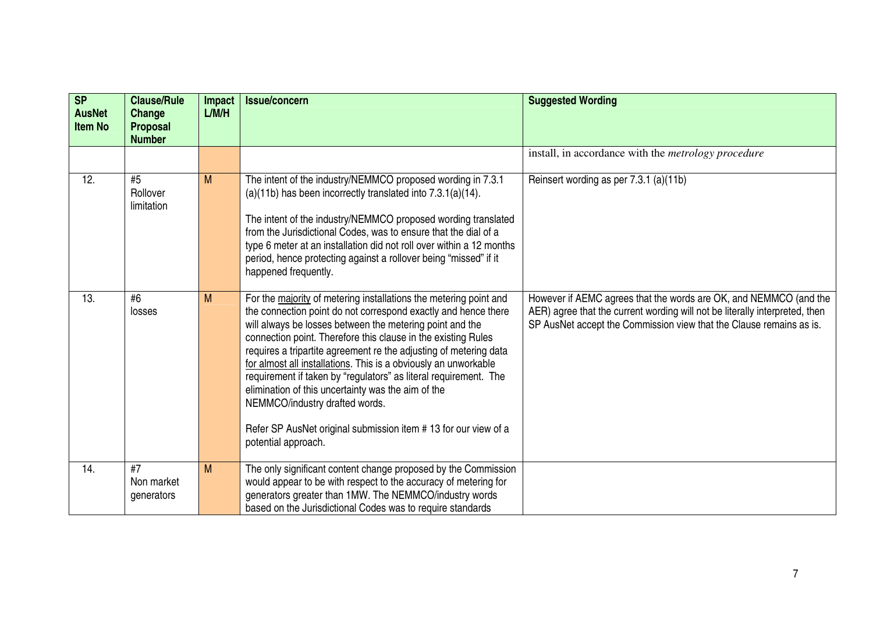| <b>SP</b><br><b>AusNet</b><br><b>Item No</b> | <b>Clause/Rule</b><br>Change<br><b>Proposal</b><br><b>Number</b> | Impact<br>L/M/H | <b>Issue/concern</b>                                                                                                                                                                                                                                                                                                                                                                                                                                                                                                                                                                                                                                          | <b>Suggested Wording</b>                                                                                                                                                                                                |
|----------------------------------------------|------------------------------------------------------------------|-----------------|---------------------------------------------------------------------------------------------------------------------------------------------------------------------------------------------------------------------------------------------------------------------------------------------------------------------------------------------------------------------------------------------------------------------------------------------------------------------------------------------------------------------------------------------------------------------------------------------------------------------------------------------------------------|-------------------------------------------------------------------------------------------------------------------------------------------------------------------------------------------------------------------------|
|                                              |                                                                  |                 |                                                                                                                                                                                                                                                                                                                                                                                                                                                                                                                                                                                                                                                               | install, in accordance with the <i>metrology procedure</i>                                                                                                                                                              |
| 12.                                          | #5<br>Rollover<br>limitation                                     | M               | The intent of the industry/NEMMCO proposed wording in 7.3.1<br>$(a)(11b)$ has been incorrectly translated into $7.3.1(a)(14)$ .<br>The intent of the industry/NEMMCO proposed wording translated<br>from the Jurisdictional Codes, was to ensure that the dial of a<br>type 6 meter at an installation did not roll over within a 12 months<br>period, hence protecting against a rollover being "missed" if it<br>happened frequently.                                                                                                                                                                                                                       | Reinsert wording as per 7.3.1 (a)(11b)                                                                                                                                                                                  |
| 13.                                          | #6<br>losses                                                     | M               | For the majority of metering installations the metering point and<br>the connection point do not correspond exactly and hence there<br>will always be losses between the metering point and the<br>connection point. Therefore this clause in the existing Rules<br>requires a tripartite agreement re the adjusting of metering data<br>for almost all installations. This is a obviously an unworkable<br>requirement if taken by "regulators" as literal requirement. The<br>elimination of this uncertainty was the aim of the<br>NEMMCO/industry drafted words.<br>Refer SP AusNet original submission item #13 for our view of a<br>potential approach. | However if AEMC agrees that the words are OK, and NEMMCO (and the<br>AER) agree that the current wording will not be literally interpreted, then<br>SP AusNet accept the Commission view that the Clause remains as is. |
| 14.                                          | #7<br>Non market<br>generators                                   | M               | The only significant content change proposed by the Commission<br>would appear to be with respect to the accuracy of metering for<br>generators greater than 1MW. The NEMMCO/industry words<br>based on the Jurisdictional Codes was to require standards                                                                                                                                                                                                                                                                                                                                                                                                     |                                                                                                                                                                                                                         |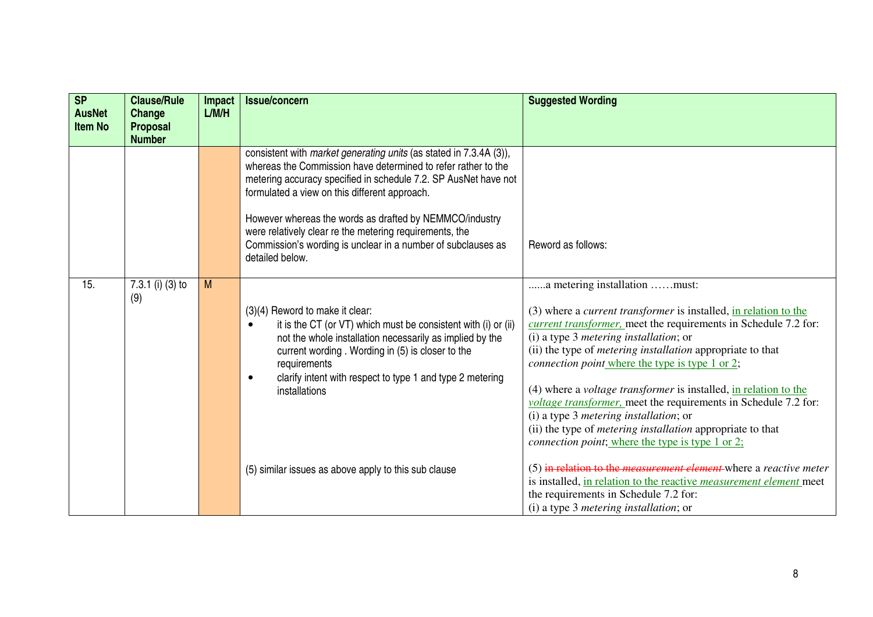| <b>SP</b><br><b>AusNet</b><br><b>Item No</b> | <b>Clause/Rule</b><br>Change<br><b>Proposal</b><br><b>Number</b> | Impact<br>L/M/H | <b>Issue/concern</b>                                                                                                                                                                                                                                                                                                                                                                                                                                                    | <b>Suggested Wording</b>                                                                                                                                                                                                                                                                                                                                                                                                                                                                                                                                                                                                                                                           |
|----------------------------------------------|------------------------------------------------------------------|-----------------|-------------------------------------------------------------------------------------------------------------------------------------------------------------------------------------------------------------------------------------------------------------------------------------------------------------------------------------------------------------------------------------------------------------------------------------------------------------------------|------------------------------------------------------------------------------------------------------------------------------------------------------------------------------------------------------------------------------------------------------------------------------------------------------------------------------------------------------------------------------------------------------------------------------------------------------------------------------------------------------------------------------------------------------------------------------------------------------------------------------------------------------------------------------------|
|                                              |                                                                  |                 | consistent with <i>market generating units</i> (as stated in 7.3.4A (3)),<br>whereas the Commission have determined to refer rather to the<br>metering accuracy specified in schedule 7.2. SP AusNet have not<br>formulated a view on this different approach.<br>However whereas the words as drafted by NEMMCO/industry<br>were relatively clear re the metering requirements, the<br>Commission's wording is unclear in a number of subclauses as<br>detailed below. | Reword as follows:                                                                                                                                                                                                                                                                                                                                                                                                                                                                                                                                                                                                                                                                 |
| 15.                                          | 7.3.1 (i) (3) to<br>(9)                                          | M               | (3)(4) Reword to make it clear:<br>it is the CT (or VT) which must be consistent with (i) or (ii)<br>not the whole installation necessarily as implied by the<br>current wording. Wording in (5) is closer to the<br>requirements<br>clarify intent with respect to type 1 and type 2 metering<br>$\bullet$<br>installations                                                                                                                                            | a metering installation must:<br>(3) where a <i>current transformer</i> is installed, in relation to the<br><i>current transformer</i> , meet the requirements in Schedule 7.2 for:<br>(i) a type 3 metering installation; or<br>(ii) the type of <i>metering installation</i> appropriate to that<br>connection point where the type is type 1 or 2;<br>$(4)$ where a <i>voltage transformer</i> is installed, in relation to the<br>voltage transformer, meet the requirements in Schedule 7.2 for:<br>$(i)$ a type 3 <i>metering installation</i> ; or<br>(ii) the type of <i>metering installation</i> appropriate to that<br>connection point; where the type is type 1 or 2; |
|                                              |                                                                  |                 | (5) similar issues as above apply to this sub clause                                                                                                                                                                                                                                                                                                                                                                                                                    | (5) in relation to the <i>measurement element</i> where a <i>reactive meter</i><br>is installed, in relation to the reactive measurement element meet<br>the requirements in Schedule 7.2 for:<br>$(i)$ a type 3 <i>metering installation</i> ; or                                                                                                                                                                                                                                                                                                                                                                                                                                 |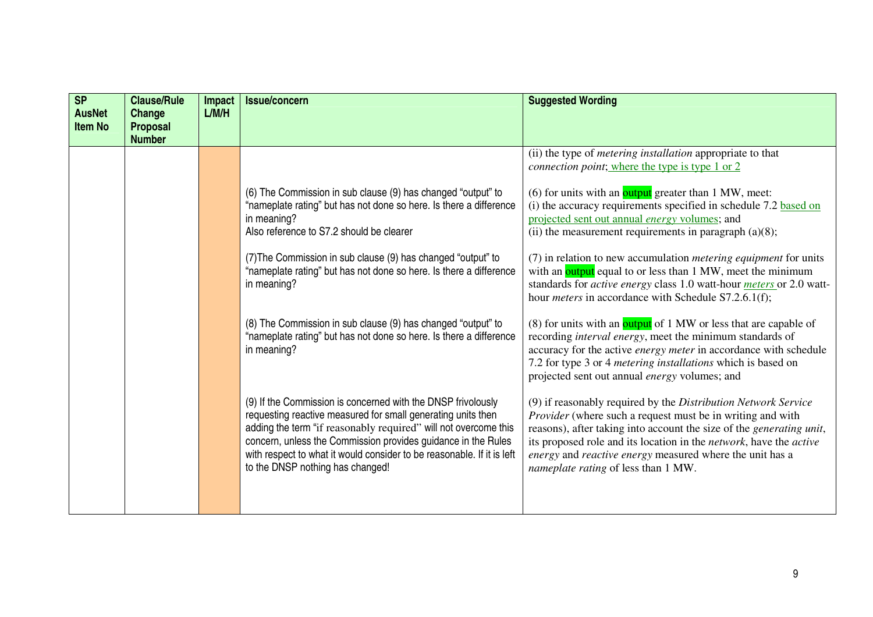| S <sub>P</sub><br><b>AusNet</b><br><b>Item No</b> | <b>Clause/Rule</b><br>Change<br><b>Proposal</b><br><b>Number</b> | Impact<br>L/M/H | <b>Issue/concern</b>                                                                                                                                                                                                                                                                                                                                                           | <b>Suggested Wording</b>                                                                                                                                                                                                                                                                                                                                                             |
|---------------------------------------------------|------------------------------------------------------------------|-----------------|--------------------------------------------------------------------------------------------------------------------------------------------------------------------------------------------------------------------------------------------------------------------------------------------------------------------------------------------------------------------------------|--------------------------------------------------------------------------------------------------------------------------------------------------------------------------------------------------------------------------------------------------------------------------------------------------------------------------------------------------------------------------------------|
|                                                   |                                                                  |                 |                                                                                                                                                                                                                                                                                                                                                                                | (ii) the type of <i>metering installation</i> appropriate to that<br>connection point; where the type is type 1 or 2                                                                                                                                                                                                                                                                 |
|                                                   |                                                                  |                 | (6) The Commission in sub clause (9) has changed "output" to<br>"nameplate rating" but has not done so here. Is there a difference<br>in meaning?<br>Also reference to S7.2 should be clearer                                                                                                                                                                                  | (6) for units with an $\frac{Output}{}$ greater than 1 MW, meet:<br>(i) the accuracy requirements specified in schedule 7.2 based on<br>projected sent out annual <i>energy</i> volumes; and<br>(ii) the measurement requirements in paragraph $(a)(8)$ ;                                                                                                                            |
|                                                   |                                                                  |                 | (7) The Commission in sub clause (9) has changed "output" to<br>"nameplate rating" but has not done so here. Is there a difference<br>in meaning?                                                                                                                                                                                                                              | (7) in relation to new accumulation <i>metering equipment</i> for units<br>with an <b>output</b> equal to or less than 1 MW, meet the minimum<br>standards for <i>active energy</i> class 1.0 watt-hour <i>meters</i> or 2.0 watt-<br>hour <i>meters</i> in accordance with Schedule S7.2.6.1(f);                                                                                    |
|                                                   |                                                                  |                 | (8) The Commission in sub clause (9) has changed "output" to<br>"nameplate rating" but has not done so here. Is there a difference<br>in meaning?                                                                                                                                                                                                                              | (8) for units with an output of 1 MW or less that are capable of<br>recording <i>interval energy</i> , meet the minimum standards of<br>accuracy for the active energy meter in accordance with schedule<br>7.2 for type 3 or 4 <i>metering installations</i> which is based on<br>projected sent out annual energy volumes; and                                                     |
|                                                   |                                                                  |                 | (9) If the Commission is concerned with the DNSP frivolously<br>requesting reactive measured for small generating units then<br>adding the term "if reasonably required" will not overcome this<br>concern, unless the Commission provides guidance in the Rules<br>with respect to what it would consider to be reasonable. If it is left<br>to the DNSP nothing has changed! | (9) if reasonably required by the Distribution Network Service<br><i>Provider</i> (where such a request must be in writing and with<br>reasons), after taking into account the size of the generating unit,<br>its proposed role and its location in the network, have the active<br>energy and reactive energy measured where the unit has a<br>nameplate rating of less than 1 MW. |
|                                                   |                                                                  |                 |                                                                                                                                                                                                                                                                                                                                                                                |                                                                                                                                                                                                                                                                                                                                                                                      |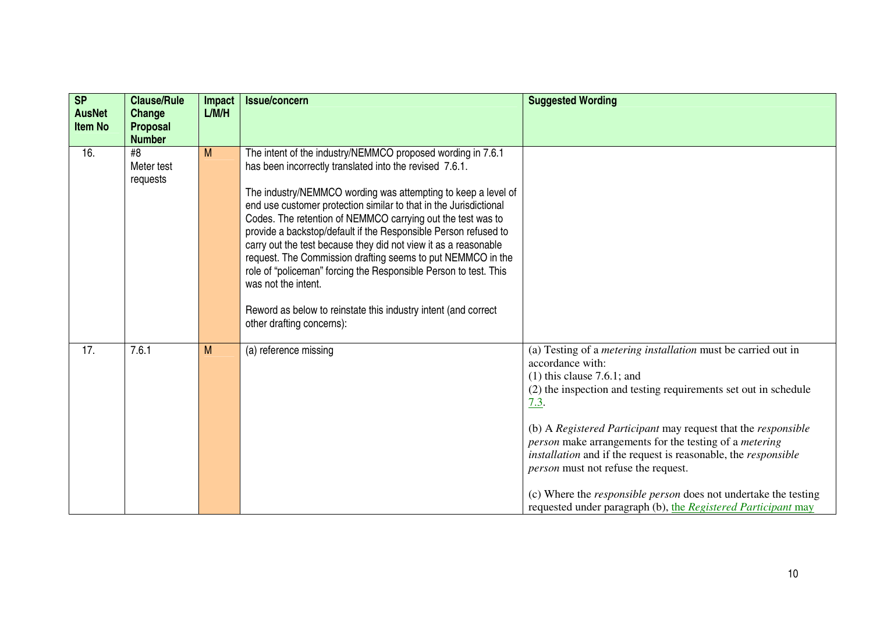| SP<br><b>AusNet</b><br><b>Item No</b> | <b>Clause/Rule</b><br>Change<br><b>Proposal</b><br><b>Number</b> | Impact<br>L/M/H | Issue/concern                                                                                                                                                                                                                                                                                                                                                                                                                                                                                                                                                                                                                                                                                                              | <b>Suggested Wording</b>                                                                                                                                                                                                                                                                                                                                                                                                                                                                                                                                                                  |
|---------------------------------------|------------------------------------------------------------------|-----------------|----------------------------------------------------------------------------------------------------------------------------------------------------------------------------------------------------------------------------------------------------------------------------------------------------------------------------------------------------------------------------------------------------------------------------------------------------------------------------------------------------------------------------------------------------------------------------------------------------------------------------------------------------------------------------------------------------------------------------|-------------------------------------------------------------------------------------------------------------------------------------------------------------------------------------------------------------------------------------------------------------------------------------------------------------------------------------------------------------------------------------------------------------------------------------------------------------------------------------------------------------------------------------------------------------------------------------------|
| 16.                                   | #8<br>Meter test<br>requests                                     | M               | The intent of the industry/NEMMCO proposed wording in 7.6.1<br>has been incorrectly translated into the revised 7.6.1.<br>The industry/NEMMCO wording was attempting to keep a level of<br>end use customer protection similar to that in the Jurisdictional<br>Codes. The retention of NEMMCO carrying out the test was to<br>provide a backstop/default if the Responsible Person refused to<br>carry out the test because they did not view it as a reasonable<br>request. The Commission drafting seems to put NEMMCO in the<br>role of "policeman" forcing the Responsible Person to test. This<br>was not the intent.<br>Reword as below to reinstate this industry intent (and correct<br>other drafting concerns): |                                                                                                                                                                                                                                                                                                                                                                                                                                                                                                                                                                                           |
| 17.                                   | 7.6.1                                                            | M               | (a) reference missing                                                                                                                                                                                                                                                                                                                                                                                                                                                                                                                                                                                                                                                                                                      | (a) Testing of a <i>metering installation</i> must be carried out in<br>accordance with:<br>$(1)$ this clause 7.6.1; and<br>(2) the inspection and testing requirements set out in schedule<br>7.3.<br>(b) A Registered Participant may request that the responsible<br>person make arrangements for the testing of a metering<br>installation and if the request is reasonable, the responsible<br><i>person</i> must not refuse the request.<br>(c) Where the <i>responsible person</i> does not undertake the testing<br>requested under paragraph (b), the Registered Participant may |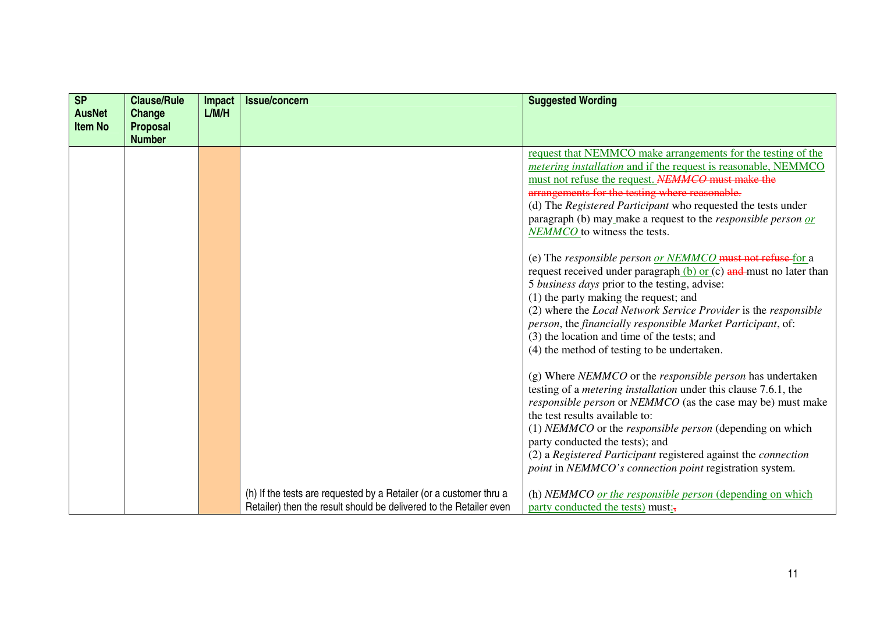| <b>SP</b><br><b>AusNet</b> | <b>Clause/Rule</b><br>Change     | Impact<br>L/M/H | <b>Issue/concern</b>                                               | <b>Suggested Wording</b>                                                                                                                                                                                                                                                                                                                                                                                                                                                                                                                                                                                                                                                                                                                                                                                                                                                                                                                                                                                                                                                                                                                                                                                                                                                                                                                                                                                                                                           |
|----------------------------|----------------------------------|-----------------|--------------------------------------------------------------------|--------------------------------------------------------------------------------------------------------------------------------------------------------------------------------------------------------------------------------------------------------------------------------------------------------------------------------------------------------------------------------------------------------------------------------------------------------------------------------------------------------------------------------------------------------------------------------------------------------------------------------------------------------------------------------------------------------------------------------------------------------------------------------------------------------------------------------------------------------------------------------------------------------------------------------------------------------------------------------------------------------------------------------------------------------------------------------------------------------------------------------------------------------------------------------------------------------------------------------------------------------------------------------------------------------------------------------------------------------------------------------------------------------------------------------------------------------------------|
| <b>Item No</b>             | <b>Proposal</b><br><b>Number</b> |                 |                                                                    |                                                                                                                                                                                                                                                                                                                                                                                                                                                                                                                                                                                                                                                                                                                                                                                                                                                                                                                                                                                                                                                                                                                                                                                                                                                                                                                                                                                                                                                                    |
|                            |                                  |                 | (h) If the tests are requested by a Retailer (or a customer thru a | request that NEMMCO make arrangements for the testing of the<br><i>metering installation</i> and if the request is reasonable, NEMMCO<br>must not refuse the request. NEMMCO must make the<br>arrangements for the testing where reasonable.<br>(d) The Registered Participant who requested the tests under<br>paragraph (b) may make a request to the <i>responsible person</i> or<br>NEMMCO to witness the tests.<br>(e) The responsible person or NEMMCO must not refuse for a<br>request received under paragraph $(b)$ or $(c)$ and must no later than<br>5 business days prior to the testing, advise:<br>(1) the party making the request; and<br>(2) where the Local Network Service Provider is the responsible<br>person, the financially responsible Market Participant, of:<br>(3) the location and time of the tests; and<br>(4) the method of testing to be undertaken.<br>$(g)$ Where <i>NEMMCO</i> or the <i>responsible person</i> has undertaken<br>testing of a <i>metering installation</i> under this clause 7.6.1, the<br><i>responsible person</i> or <i>NEMMCO</i> (as the case may be) must make<br>the test results available to:<br>(1) NEMMCO or the responsible person (depending on which<br>party conducted the tests); and<br>(2) a Registered Participant registered against the connection<br><i>point</i> in <i>NEMMCO's connection point</i> registration system.<br>(h) NEMMCO or the responsible person (depending on which |
|                            |                                  |                 | Retailer) then the result should be delivered to the Retailer even | party conducted the tests) must:                                                                                                                                                                                                                                                                                                                                                                                                                                                                                                                                                                                                                                                                                                                                                                                                                                                                                                                                                                                                                                                                                                                                                                                                                                                                                                                                                                                                                                   |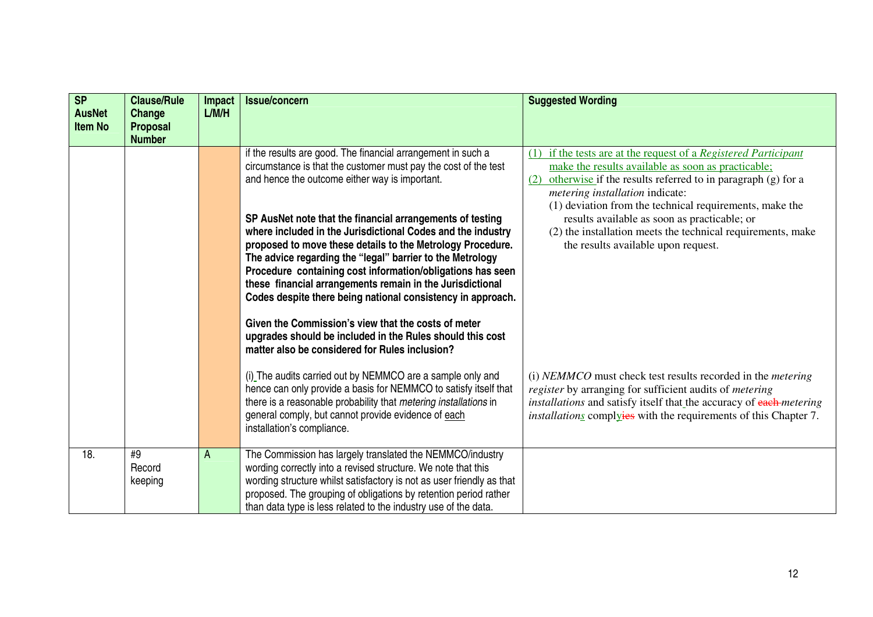| SP<br><b>AusNet</b><br><b>Item No</b> | <b>Clause/Rule</b><br>Change<br>Proposal<br><b>Number</b> | <b>Impact</b><br>L/M/H | <b>Issue/concern</b>                                                                                                                                                                                                                                                                                                                                                                                                                                                                                                                                                                                                                                                                                                                                                                                     | <b>Suggested Wording</b>                                                                                                                                                                                                                                                                                                                                                                                                                           |
|---------------------------------------|-----------------------------------------------------------|------------------------|----------------------------------------------------------------------------------------------------------------------------------------------------------------------------------------------------------------------------------------------------------------------------------------------------------------------------------------------------------------------------------------------------------------------------------------------------------------------------------------------------------------------------------------------------------------------------------------------------------------------------------------------------------------------------------------------------------------------------------------------------------------------------------------------------------|----------------------------------------------------------------------------------------------------------------------------------------------------------------------------------------------------------------------------------------------------------------------------------------------------------------------------------------------------------------------------------------------------------------------------------------------------|
|                                       |                                                           |                        | if the results are good. The financial arrangement in such a<br>circumstance is that the customer must pay the cost of the test<br>and hence the outcome either way is important.<br>SP AusNet note that the financial arrangements of testing<br>where included in the Jurisdictional Codes and the industry<br>proposed to move these details to the Metrology Procedure.<br>The advice regarding the "legal" barrier to the Metrology<br>Procedure containing cost information/obligations has seen<br>these financial arrangements remain in the Jurisdictional<br>Codes despite there being national consistency in approach.<br>Given the Commission's view that the costs of meter<br>upgrades should be included in the Rules should this cost<br>matter also be considered for Rules inclusion? | if the tests are at the request of a Registered Participant<br>(1)<br>make the results available as soon as practicable;<br>otherwise if the results referred to in paragraph (g) for a<br>(2)<br>metering installation indicate:<br>(1) deviation from the technical requirements, make the<br>results available as soon as practicable; or<br>(2) the installation meets the technical requirements, make<br>the results available upon request. |
|                                       |                                                           |                        | (i) The audits carried out by NEMMCO are a sample only and<br>hence can only provide a basis for NEMMCO to satisfy itself that<br>there is a reasonable probability that metering installations in<br>general comply, but cannot provide evidence of each<br>installation's compliance.                                                                                                                                                                                                                                                                                                                                                                                                                                                                                                                  | (i) NEMMCO must check test results recorded in the <i>metering</i><br>register by arranging for sufficient audits of metering<br>installations and satisfy itself that the accuracy of each-metering<br><i>installations</i> complyies with the requirements of this Chapter 7.                                                                                                                                                                    |
| 18.                                   | #9<br>Record<br>keeping                                   | A                      | The Commission has largely translated the NEMMCO/industry<br>wording correctly into a revised structure. We note that this<br>wording structure whilst satisfactory is not as user friendly as that<br>proposed. The grouping of obligations by retention period rather<br>than data type is less related to the industry use of the data.                                                                                                                                                                                                                                                                                                                                                                                                                                                               |                                                                                                                                                                                                                                                                                                                                                                                                                                                    |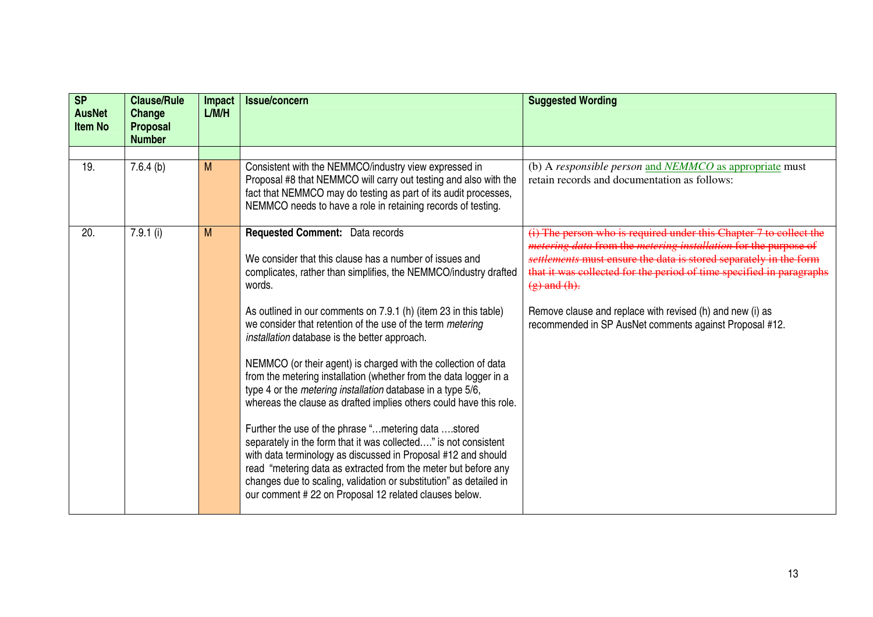| <b>SP</b><br><b>AusNet</b><br><b>Item No</b> | <b>Clause/Rule</b><br>Change<br><b>Proposal</b><br><b>Number</b> | <b>Impact</b><br>L/M/H | <b>Issue/concern</b>                                                                                                                                                                                                                                                                                                                                                                                                                                                                                                                                                                                                                                                                                                                                                                                                                                                                                                                                                                                                                               | <b>Suggested Wording</b>                                                                                                                                                                                                                                                                                                                                                                                                                      |
|----------------------------------------------|------------------------------------------------------------------|------------------------|----------------------------------------------------------------------------------------------------------------------------------------------------------------------------------------------------------------------------------------------------------------------------------------------------------------------------------------------------------------------------------------------------------------------------------------------------------------------------------------------------------------------------------------------------------------------------------------------------------------------------------------------------------------------------------------------------------------------------------------------------------------------------------------------------------------------------------------------------------------------------------------------------------------------------------------------------------------------------------------------------------------------------------------------------|-----------------------------------------------------------------------------------------------------------------------------------------------------------------------------------------------------------------------------------------------------------------------------------------------------------------------------------------------------------------------------------------------------------------------------------------------|
|                                              |                                                                  |                        |                                                                                                                                                                                                                                                                                                                                                                                                                                                                                                                                                                                                                                                                                                                                                                                                                                                                                                                                                                                                                                                    |                                                                                                                                                                                                                                                                                                                                                                                                                                               |
| 19.                                          | 7.6.4(b)                                                         | M                      | Consistent with the NEMMCO/industry view expressed in<br>Proposal #8 that NEMMCO will carry out testing and also with the<br>fact that NEMMCO may do testing as part of its audit processes,<br>NEMMCO needs to have a role in retaining records of testing.                                                                                                                                                                                                                                                                                                                                                                                                                                                                                                                                                                                                                                                                                                                                                                                       | (b) A responsible person and NEMMCO as appropriate must<br>retain records and documentation as follows:                                                                                                                                                                                                                                                                                                                                       |
| 20.                                          | $7.9.1$ (i)                                                      | M                      | <b>Requested Comment:</b> Data records<br>We consider that this clause has a number of issues and<br>complicates, rather than simplifies, the NEMMCO/industry drafted<br>words.<br>As outlined in our comments on 7.9.1 (h) (item 23 in this table)<br>we consider that retention of the use of the term metering<br>installation database is the better approach.<br>NEMMCO (or their agent) is charged with the collection of data<br>from the metering installation (whether from the data logger in a<br>type 4 or the <i>metering installation</i> database in a type 5/6,<br>whereas the clause as drafted implies others could have this role.<br>Further the use of the phrase " metering data stored<br>separately in the form that it was collected" is not consistent<br>with data terminology as discussed in Proposal #12 and should<br>read "metering data as extracted from the meter but before any<br>changes due to scaling, validation or substitution" as detailed in<br>our comment #22 on Proposal 12 related clauses below. | (i) The person who is required under this Chapter 7 to collect the<br><i>metering data</i> from the <i>metering installation</i> for the purpose of<br>settlements must ensure the data is stored separately in the form<br>that it was collected for the period of time specified in paragraphs<br>$(g)$ and $(h)$ .<br>Remove clause and replace with revised (h) and new (i) as<br>recommended in SP AusNet comments against Proposal #12. |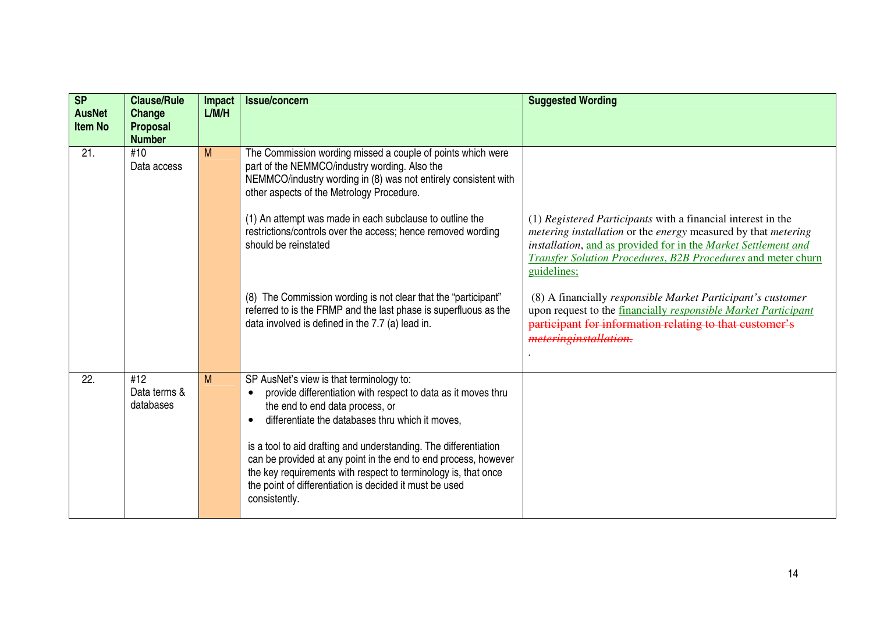| S <sub>P</sub><br><b>AusNet</b><br><b>Item No</b> | <b>Clause/Rule</b><br>Change<br><b>Proposal</b><br><b>Number</b> | <b>Impact</b><br>L/M/H | <b>Issue/concern</b>                                                                                                                                                                                                                                                              | <b>Suggested Wording</b>                                                                                                                                                                                                                                                       |
|---------------------------------------------------|------------------------------------------------------------------|------------------------|-----------------------------------------------------------------------------------------------------------------------------------------------------------------------------------------------------------------------------------------------------------------------------------|--------------------------------------------------------------------------------------------------------------------------------------------------------------------------------------------------------------------------------------------------------------------------------|
| 21.                                               | #10<br>Data access                                               | M                      | The Commission wording missed a couple of points which were<br>part of the NEMMCO/industry wording. Also the<br>NEMMCO/industry wording in (8) was not entirely consistent with<br>other aspects of the Metrology Procedure.                                                      |                                                                                                                                                                                                                                                                                |
|                                                   |                                                                  |                        | (1) An attempt was made in each subclause to outline the<br>restrictions/controls over the access; hence removed wording<br>should be reinstated                                                                                                                                  | (1) Registered Participants with a financial interest in the<br>metering installation or the energy measured by that metering<br>installation, and as provided for in the Market Settlement and<br>Transfer Solution Procedures, B2B Procedures and meter churn<br>guidelines; |
|                                                   |                                                                  |                        | (8) The Commission wording is not clear that the "participant"<br>referred to is the FRMP and the last phase is superfluous as the<br>data involved is defined in the 7.7 (a) lead in.                                                                                            | (8) A financially responsible Market Participant's customer<br>upon request to the <b>financially</b> responsible Market Participant<br>participant for information relating to that customer's<br>meteringinstallation.                                                       |
| 22.                                               | #12<br>Data terms &<br>databases                                 | M                      | SP AusNet's view is that terminology to:<br>provide differentiation with respect to data as it moves thru<br>the end to end data process, or<br>differentiate the databases thru which it moves,                                                                                  |                                                                                                                                                                                                                                                                                |
|                                                   |                                                                  |                        | is a tool to aid drafting and understanding. The differentiation<br>can be provided at any point in the end to end process, however<br>the key requirements with respect to terminology is, that once<br>the point of differentiation is decided it must be used<br>consistently. |                                                                                                                                                                                                                                                                                |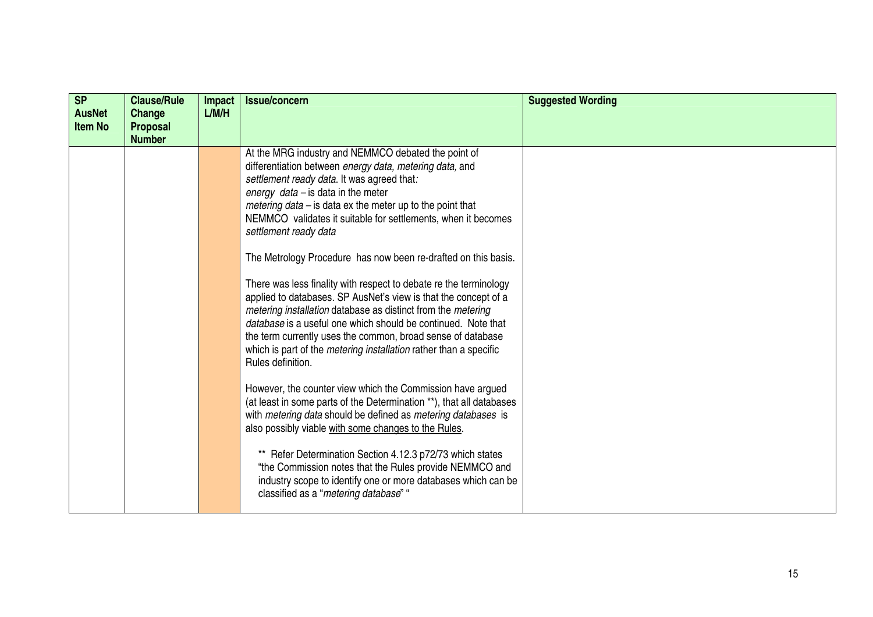| <b>SP</b><br><b>AusNet</b><br><b>Item No</b> | <b>Clause/Rule</b><br>Change<br><b>Proposal</b><br><b>Number</b> | <b>Impact</b><br>L/M/H | <b>Issue/concern</b>                                                                                                                                                                                                                                                                                                                                                                                                                                                                                                                                                                                                                                                                                                                                                                                                                                                                                                                                                                                                                                                                                                                                                                                                                                                                                                          | <b>Suggested Wording</b> |
|----------------------------------------------|------------------------------------------------------------------|------------------------|-------------------------------------------------------------------------------------------------------------------------------------------------------------------------------------------------------------------------------------------------------------------------------------------------------------------------------------------------------------------------------------------------------------------------------------------------------------------------------------------------------------------------------------------------------------------------------------------------------------------------------------------------------------------------------------------------------------------------------------------------------------------------------------------------------------------------------------------------------------------------------------------------------------------------------------------------------------------------------------------------------------------------------------------------------------------------------------------------------------------------------------------------------------------------------------------------------------------------------------------------------------------------------------------------------------------------------|--------------------------|
|                                              |                                                                  |                        | At the MRG industry and NEMMCO debated the point of<br>differentiation between energy data, metering data, and<br>settlement ready data. It was agreed that:<br>energy $data - is$ data in the meter<br>metering data $-$ is data ex the meter up to the point that<br>NEMMCO validates it suitable for settlements, when it becomes<br>settlement ready data<br>The Metrology Procedure has now been re-drafted on this basis.<br>There was less finality with respect to debate re the terminology<br>applied to databases. SP AusNet's view is that the concept of a<br>metering installation database as distinct from the metering<br>database is a useful one which should be continued. Note that<br>the term currently uses the common, broad sense of database<br>which is part of the <i>metering installation</i> rather than a specific<br>Rules definition.<br>However, the counter view which the Commission have argued<br>(at least in some parts of the Determination **), that all databases<br>with metering data should be defined as metering databases is<br>also possibly viable with some changes to the Rules.<br>Refer Determination Section 4.12.3 p72/73 which states<br>"the Commission notes that the Rules provide NEMMCO and<br>industry scope to identify one or more databases which can be |                          |
|                                              |                                                                  |                        | classified as a "metering database" "                                                                                                                                                                                                                                                                                                                                                                                                                                                                                                                                                                                                                                                                                                                                                                                                                                                                                                                                                                                                                                                                                                                                                                                                                                                                                         |                          |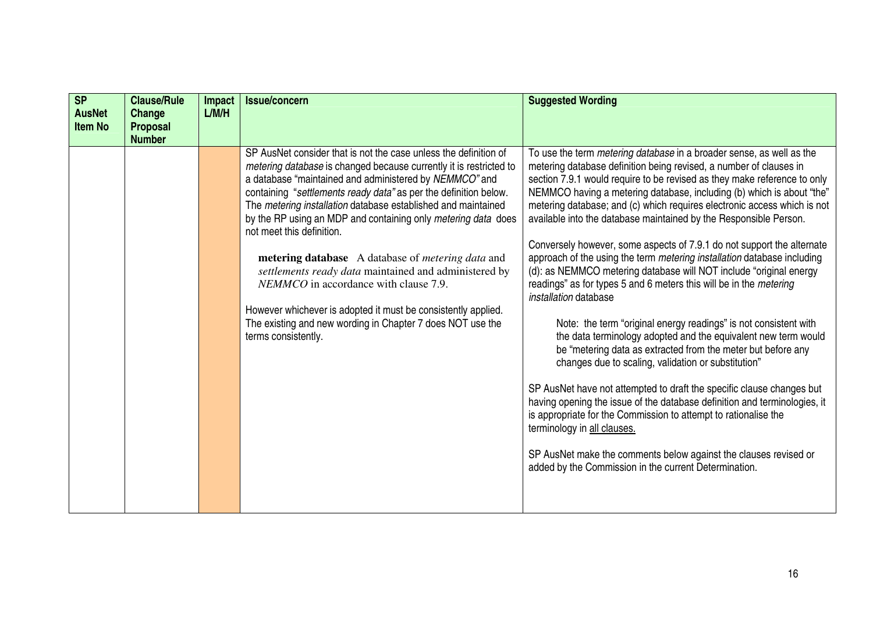| S <sub>P</sub><br><b>AusNet</b><br><b>Item No</b> | <b>Clause/Rule</b><br>Change<br><b>Proposal</b> | Impact<br>L/M/H | <b>Issue/concern</b>                                                                                                                                                                                                                                                                                                                                                                                                                                                                                                                                                                                                                                                                                                                                    | <b>Suggested Wording</b>                                                                                                                                                                                                                                                                                                                                                                                                                                                                                                                                                                                                                                                                                                                                                                                                                                                                                                                                                                                                                                                                                                                                                                                                                                                                                                                                                                                                            |
|---------------------------------------------------|-------------------------------------------------|-----------------|---------------------------------------------------------------------------------------------------------------------------------------------------------------------------------------------------------------------------------------------------------------------------------------------------------------------------------------------------------------------------------------------------------------------------------------------------------------------------------------------------------------------------------------------------------------------------------------------------------------------------------------------------------------------------------------------------------------------------------------------------------|-------------------------------------------------------------------------------------------------------------------------------------------------------------------------------------------------------------------------------------------------------------------------------------------------------------------------------------------------------------------------------------------------------------------------------------------------------------------------------------------------------------------------------------------------------------------------------------------------------------------------------------------------------------------------------------------------------------------------------------------------------------------------------------------------------------------------------------------------------------------------------------------------------------------------------------------------------------------------------------------------------------------------------------------------------------------------------------------------------------------------------------------------------------------------------------------------------------------------------------------------------------------------------------------------------------------------------------------------------------------------------------------------------------------------------------|
|                                                   | <b>Number</b>                                   |                 | SP AusNet consider that is not the case unless the definition of<br>metering database is changed because currently it is restricted to<br>a database "maintained and administered by NEMMCO" and<br>containing "settlements ready data" as per the definition below.<br>The metering installation database established and maintained<br>by the RP using an MDP and containing only metering data does<br>not meet this definition.<br>metering database A database of <i>metering data</i> and<br>settlements ready data maintained and administered by<br>NEMMCO in accordance with clause 7.9.<br>However whichever is adopted it must be consistently applied.<br>The existing and new wording in Chapter 7 does NOT use the<br>terms consistently. | To use the term <i>metering database</i> in a broader sense, as well as the<br>metering database definition being revised, a number of clauses in<br>section 7.9.1 would require to be revised as they make reference to only<br>NEMMCO having a metering database, including (b) which is about "the"<br>metering database; and (c) which requires electronic access which is not<br>available into the database maintained by the Responsible Person.<br>Conversely however, some aspects of 7.9.1 do not support the alternate<br>approach of the using the term metering installation database including<br>(d): as NEMMCO metering database will NOT include "original energy<br>readings" as for types 5 and 6 meters this will be in the metering<br>installation database<br>Note: the term "original energy readings" is not consistent with<br>the data terminology adopted and the equivalent new term would<br>be "metering data as extracted from the meter but before any<br>changes due to scaling, validation or substitution"<br>SP AusNet have not attempted to draft the specific clause changes but<br>having opening the issue of the database definition and terminologies, it<br>is appropriate for the Commission to attempt to rationalise the<br>terminology in all clauses.<br>SP AusNet make the comments below against the clauses revised or<br>added by the Commission in the current Determination. |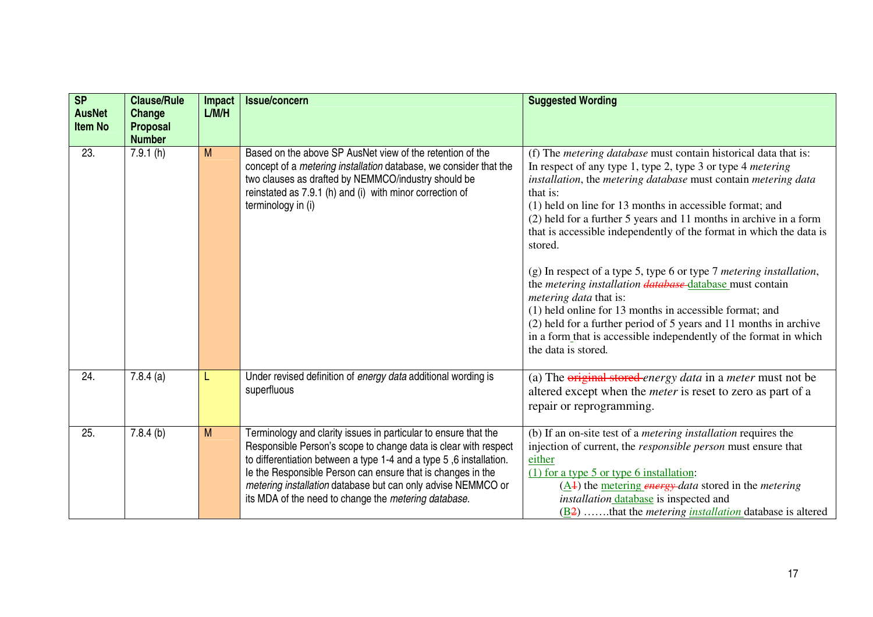| S <sub>P</sub><br><b>AusNet</b><br><b>Item No</b> | <b>Clause/Rule</b><br>Change<br>Proposal<br><b>Number</b> | <b>Impact</b><br>L/M/H | <b>Issue/concern</b>                                                                                                                                                                                                                                                                                                                                                                            | <b>Suggested Wording</b>                                                                                                                                                                                                                                                                                                                                                                                                                                                                                                                                                                                                                                                                                                                                                                                                                             |
|---------------------------------------------------|-----------------------------------------------------------|------------------------|-------------------------------------------------------------------------------------------------------------------------------------------------------------------------------------------------------------------------------------------------------------------------------------------------------------------------------------------------------------------------------------------------|------------------------------------------------------------------------------------------------------------------------------------------------------------------------------------------------------------------------------------------------------------------------------------------------------------------------------------------------------------------------------------------------------------------------------------------------------------------------------------------------------------------------------------------------------------------------------------------------------------------------------------------------------------------------------------------------------------------------------------------------------------------------------------------------------------------------------------------------------|
| 23.                                               | 7.9.1(h)                                                  | M                      | Based on the above SP AusNet view of the retention of the<br>concept of a <i>metering installation</i> database, we consider that the<br>two clauses as drafted by NEMMCO/industry should be<br>reinstated as 7.9.1 (h) and (i) with minor correction of<br>terminology in (i)                                                                                                                  | (f) The <i>metering database</i> must contain historical data that is:<br>In respect of any type 1, type 2, type 3 or type 4 <i>metering</i><br>installation, the metering database must contain metering data<br>that is:<br>(1) held on line for 13 months in accessible format; and<br>(2) held for a further 5 years and 11 months in archive in a form<br>that is accessible independently of the format in which the data is<br>stored.<br>(g) In respect of a type 5, type 6 or type 7 metering installation,<br>the <i>metering installation database</i> database must contain<br><i>metering data that is:</i><br>(1) held online for 13 months in accessible format; and<br>(2) held for a further period of 5 years and 11 months in archive<br>in a form that is accessible independently of the format in which<br>the data is stored. |
| 24.                                               | $7.8.4$ (a)                                               | L                      | Under revised definition of energy data additional wording is<br>superfluous                                                                                                                                                                                                                                                                                                                    | (a) The original stored energy data in a meter must not be<br>altered except when the <i>meter</i> is reset to zero as part of a<br>repair or reprogramming.                                                                                                                                                                                                                                                                                                                                                                                                                                                                                                                                                                                                                                                                                         |
| 25.                                               | 7.8.4(b)                                                  | M                      | Terminology and clarity issues in particular to ensure that the<br>Responsible Person's scope to change data is clear with respect<br>to differentiation between a type 1-4 and a type 5,6 installation.<br>le the Responsible Person can ensure that is changes in the<br>metering installation database but can only advise NEMMCO or<br>its MDA of the need to change the metering database. | (b) If an on-site test of a <i>metering installation</i> requires the<br>injection of current, the <i>responsible person</i> must ensure that<br>either<br>$(1)$ for a type 5 or type 6 installation:<br>$(\underline{A4})$ the <u>metering energy</u> -data stored in the <i>metering</i><br>installation database is inspected and<br>$(\underline{B2})$ that the <i>metering <u>installation</u></i> database is altered                                                                                                                                                                                                                                                                                                                                                                                                                          |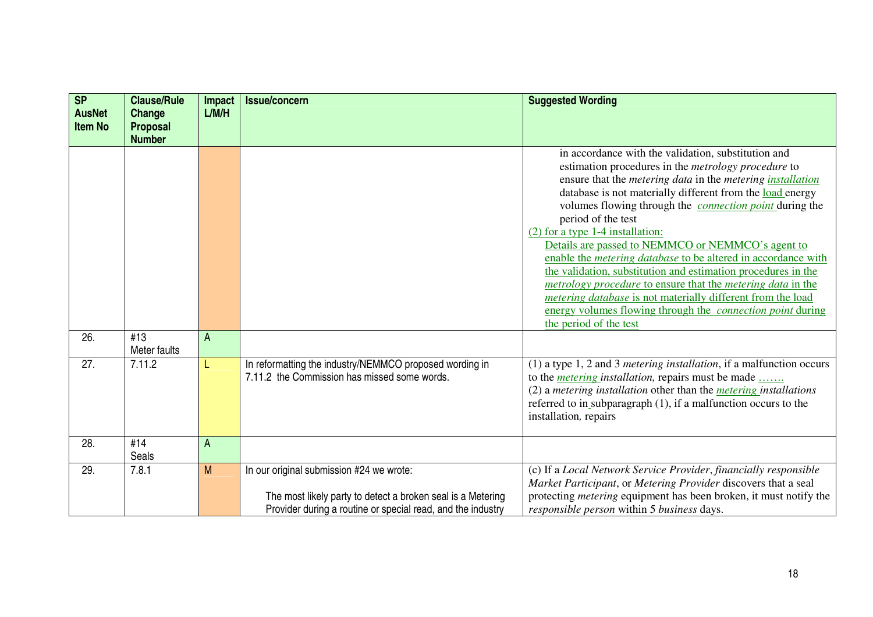| SP<br><b>AusNet</b><br><b>Item No</b> | <b>Clause/Rule</b><br>Change<br><b>Proposal</b> | Impact<br>L/M/H | <b>Issue/concern</b>                                                                                                                                                   | <b>Suggested Wording</b>                                                                                                                                                                                                                                                                                                                                                                                                                                                                                                                                                                                                                                                                                                                                                                                                          |
|---------------------------------------|-------------------------------------------------|-----------------|------------------------------------------------------------------------------------------------------------------------------------------------------------------------|-----------------------------------------------------------------------------------------------------------------------------------------------------------------------------------------------------------------------------------------------------------------------------------------------------------------------------------------------------------------------------------------------------------------------------------------------------------------------------------------------------------------------------------------------------------------------------------------------------------------------------------------------------------------------------------------------------------------------------------------------------------------------------------------------------------------------------------|
| 26.                                   | <b>Number</b><br>#13                            | A               |                                                                                                                                                                        | in accordance with the validation, substitution and<br>estimation procedures in the <i>metrology procedure</i> to<br>ensure that the <i>metering data</i> in the <i>metering installation</i><br>database is not materially different from the load energy<br>volumes flowing through the <i>connection point</i> during the<br>period of the test<br>$(2)$ for a type 1-4 installation:<br>Details are passed to NEMMCO or NEMMCO's agent to<br>enable the <i>metering database</i> to be altered in accordance with<br>the validation, substitution and estimation procedures in the<br><i>metrology procedure to ensure that the metering data in the</i><br><i>metering database</i> is not materially different from the load<br>energy volumes flowing through the <i>connection point</i> during<br>the period of the test |
|                                       | Meter faults                                    |                 |                                                                                                                                                                        |                                                                                                                                                                                                                                                                                                                                                                                                                                                                                                                                                                                                                                                                                                                                                                                                                                   |
| 27.                                   | 7.11.2                                          | L               | In reformatting the industry/NEMMCO proposed wording in<br>7.11.2 the Commission has missed some words.                                                                | (1) a type $1, 2$ and $3$ <i>metering installation</i> , if a malfunction occurs<br>to the <i>metering installation</i> , repairs must be made<br>$(2)$ a <i>metering installation</i> other than the <i>metering installations</i><br>referred to in subparagraph (1), if a malfunction occurs to the<br>installation, repairs                                                                                                                                                                                                                                                                                                                                                                                                                                                                                                   |
| 28.                                   | #14<br>Seals                                    | A               |                                                                                                                                                                        |                                                                                                                                                                                                                                                                                                                                                                                                                                                                                                                                                                                                                                                                                                                                                                                                                                   |
| 29.                                   | 7.8.1                                           | M               | In our original submission #24 we wrote:<br>The most likely party to detect a broken seal is a Metering<br>Provider during a routine or special read, and the industry | (c) If a Local Network Service Provider, financially responsible<br>Market Participant, or Metering Provider discovers that a seal<br>protecting <i>metering</i> equipment has been broken, it must notify the<br>responsible person within 5 business days.                                                                                                                                                                                                                                                                                                                                                                                                                                                                                                                                                                      |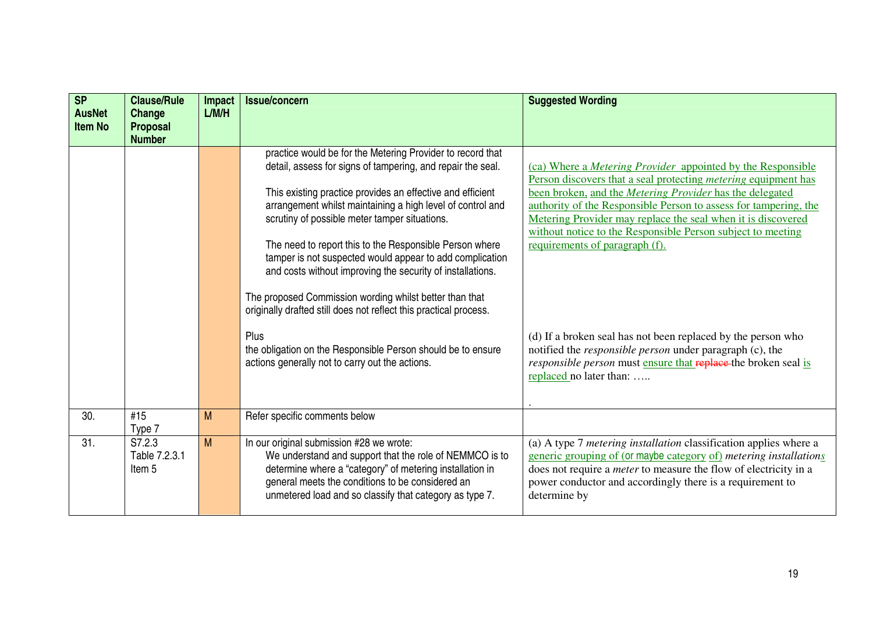| SP<br><b>AusNet</b><br><b>Item No</b> | <b>Clause/Rule</b><br>Change<br><b>Proposal</b><br><b>Number</b> | <b>Impact</b><br>L/M/H | <b>Issue/concern</b>                                                                                                                                                                                                                                                                                                                                                                                                                                                                                                                                                                                                                                                                                                                                   | <b>Suggested Wording</b>                                                                                                                                                                                                                                                                                                                                                                                                                                                                                                                                                                                                                                                     |
|---------------------------------------|------------------------------------------------------------------|------------------------|--------------------------------------------------------------------------------------------------------------------------------------------------------------------------------------------------------------------------------------------------------------------------------------------------------------------------------------------------------------------------------------------------------------------------------------------------------------------------------------------------------------------------------------------------------------------------------------------------------------------------------------------------------------------------------------------------------------------------------------------------------|------------------------------------------------------------------------------------------------------------------------------------------------------------------------------------------------------------------------------------------------------------------------------------------------------------------------------------------------------------------------------------------------------------------------------------------------------------------------------------------------------------------------------------------------------------------------------------------------------------------------------------------------------------------------------|
|                                       |                                                                  |                        | practice would be for the Metering Provider to record that<br>detail, assess for signs of tampering, and repair the seal.<br>This existing practice provides an effective and efficient<br>arrangement whilst maintaining a high level of control and<br>scrutiny of possible meter tamper situations.<br>The need to report this to the Responsible Person where<br>tamper is not suspected would appear to add complication<br>and costs without improving the security of installations.<br>The proposed Commission wording whilst better than that<br>originally drafted still does not reflect this practical process.<br>Plus<br>the obligation on the Responsible Person should be to ensure<br>actions generally not to carry out the actions. | (ca) Where a <i>Metering Provider</i> appointed by the Responsible<br>Person discovers that a seal protecting <i>metering</i> equipment has<br>been broken, and the Metering Provider has the delegated<br>authority of the Responsible Person to assess for tampering, the<br>Metering Provider may replace the seal when it is discovered<br>without notice to the Responsible Person subject to meeting<br>requirements of paragraph (f).<br>(d) If a broken seal has not been replaced by the person who<br>notified the <i>responsible person</i> under paragraph (c), the<br>responsible person must ensure that replace the broken seal is<br>replaced no later than: |
| 30.                                   | #15<br>Type 7                                                    | M                      | Refer specific comments below                                                                                                                                                                                                                                                                                                                                                                                                                                                                                                                                                                                                                                                                                                                          |                                                                                                                                                                                                                                                                                                                                                                                                                                                                                                                                                                                                                                                                              |
| 31.                                   | S7.2.3<br>Table 7.2.3.1<br>Item <sub>5</sub>                     | M                      | In our original submission #28 we wrote:<br>We understand and support that the role of NEMMCO is to<br>determine where a "category" of metering installation in<br>general meets the conditions to be considered an<br>unmetered load and so classify that category as type 7.                                                                                                                                                                                                                                                                                                                                                                                                                                                                         | (a) A type 7 metering installation classification applies where a<br>generic grouping of (or maybe category of) metering installations<br>does not require a <i>meter</i> to measure the flow of electricity in a<br>power conductor and accordingly there is a requirement to<br>determine by                                                                                                                                                                                                                                                                                                                                                                               |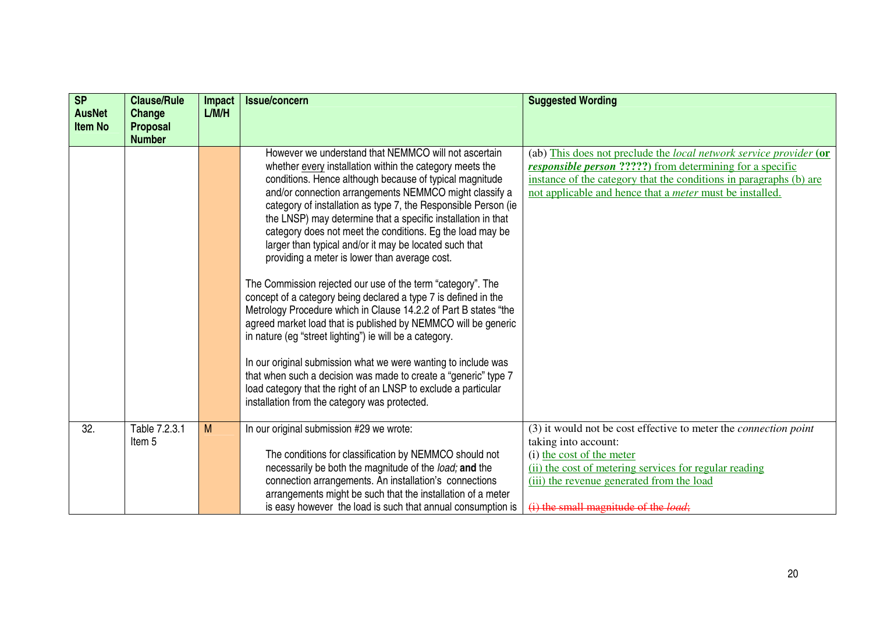| SP<br><b>AusNet</b><br><b>Item No</b> | <b>Clause/Rule</b><br>Change<br><b>Proposal</b> | Impact<br>L/M/H | <b>Issue/concern</b>                                                                                                                                                                                                                                                                                                                                                                                                                                                                                                                                                                                                                                                                                                                                                                                                                                                                                                                                                                                                                                                                                                                        | <b>Suggested Wording</b>                                                                                                                                                                                                                                                         |
|---------------------------------------|-------------------------------------------------|-----------------|---------------------------------------------------------------------------------------------------------------------------------------------------------------------------------------------------------------------------------------------------------------------------------------------------------------------------------------------------------------------------------------------------------------------------------------------------------------------------------------------------------------------------------------------------------------------------------------------------------------------------------------------------------------------------------------------------------------------------------------------------------------------------------------------------------------------------------------------------------------------------------------------------------------------------------------------------------------------------------------------------------------------------------------------------------------------------------------------------------------------------------------------|----------------------------------------------------------------------------------------------------------------------------------------------------------------------------------------------------------------------------------------------------------------------------------|
|                                       | <b>Number</b>                                   |                 | However we understand that NEMMCO will not ascertain<br>whether every installation within the category meets the<br>conditions. Hence although because of typical magnitude<br>and/or connection arrangements NEMMCO might classify a<br>category of installation as type 7, the Responsible Person (ie<br>the LNSP) may determine that a specific installation in that<br>category does not meet the conditions. Eg the load may be<br>larger than typical and/or it may be located such that<br>providing a meter is lower than average cost.<br>The Commission rejected our use of the term "category". The<br>concept of a category being declared a type 7 is defined in the<br>Metrology Procedure which in Clause 14.2.2 of Part B states "the<br>agreed market load that is published by NEMMCO will be generic<br>in nature (eq "street lighting") ie will be a category.<br>In our original submission what we were wanting to include was<br>that when such a decision was made to create a "generic" type 7<br>load category that the right of an LNSP to exclude a particular<br>installation from the category was protected. | (ab) This does not preclude the local network service provider (or<br><b>responsible person ?????</b> ) from determining for a specific<br>instance of the category that the conditions in paragraphs (b) are<br>not applicable and hence that a <i>meter</i> must be installed. |
| 32.                                   | Table 7.2.3.1<br>Item <sub>5</sub>              | M               | In our original submission #29 we wrote:<br>The conditions for classification by NEMMCO should not<br>necessarily be both the magnitude of the load; and the<br>connection arrangements. An installation's connections                                                                                                                                                                                                                                                                                                                                                                                                                                                                                                                                                                                                                                                                                                                                                                                                                                                                                                                      | (3) it would not be cost effective to meter the <i>connection point</i><br>taking into account:<br>(i) the cost of the meter<br>(ii) the cost of metering services for regular reading<br>(iii) the revenue generated from the load                                              |
|                                       |                                                 |                 | arrangements might be such that the installation of a meter<br>is easy however the load is such that annual consumption is                                                                                                                                                                                                                                                                                                                                                                                                                                                                                                                                                                                                                                                                                                                                                                                                                                                                                                                                                                                                                  | (i) the small magnitude of the <i>load</i> ;                                                                                                                                                                                                                                     |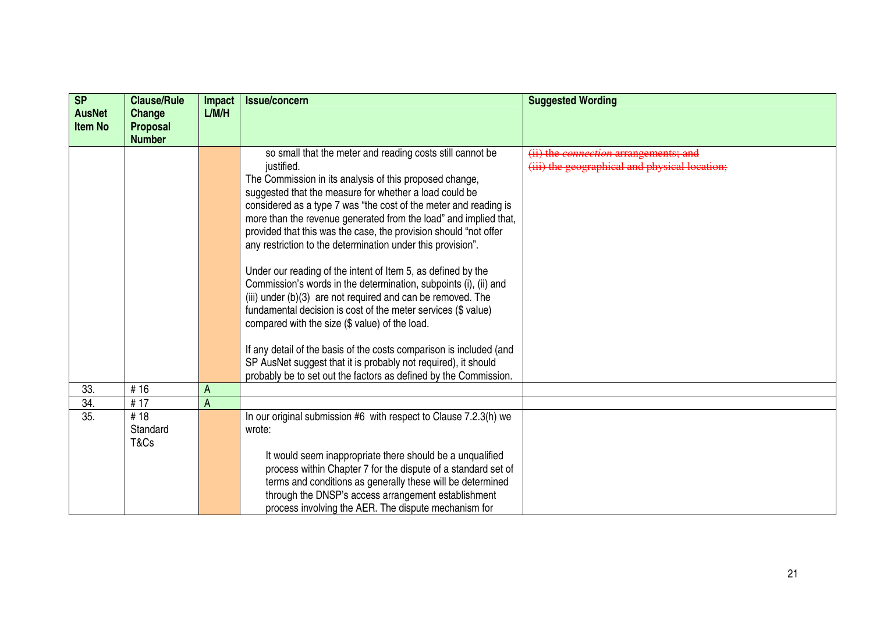| <b>SP</b>                       | <b>Clause/Rule</b>        | <b>Impact</b> | <b>Issue/concern</b>                                                                                                                 | <b>Suggested Wording</b>                      |
|---------------------------------|---------------------------|---------------|--------------------------------------------------------------------------------------------------------------------------------------|-----------------------------------------------|
| <b>AusNet</b><br><b>Item No</b> | Change<br><b>Proposal</b> | L/M/H         |                                                                                                                                      |                                               |
|                                 | <b>Number</b>             |               |                                                                                                                                      |                                               |
|                                 |                           |               | so small that the meter and reading costs still cannot be                                                                            | (ii) the <i>connection</i> arrangements; and  |
|                                 |                           |               | justified.                                                                                                                           | (iii) the geographical and physical location; |
|                                 |                           |               | The Commission in its analysis of this proposed change,                                                                              |                                               |
|                                 |                           |               | suggested that the measure for whether a load could be                                                                               |                                               |
|                                 |                           |               | considered as a type 7 was "the cost of the meter and reading is<br>more than the revenue generated from the load" and implied that, |                                               |
|                                 |                           |               | provided that this was the case, the provision should "not offer                                                                     |                                               |
|                                 |                           |               | any restriction to the determination under this provision".                                                                          |                                               |
|                                 |                           |               |                                                                                                                                      |                                               |
|                                 |                           |               | Under our reading of the intent of Item 5, as defined by the                                                                         |                                               |
|                                 |                           |               | Commission's words in the determination, subpoints (i), (ii) and                                                                     |                                               |
|                                 |                           |               | (iii) under (b)(3) are not required and can be removed. The                                                                          |                                               |
|                                 |                           |               | fundamental decision is cost of the meter services (\$ value)                                                                        |                                               |
|                                 |                           |               | compared with the size (\$ value) of the load.                                                                                       |                                               |
|                                 |                           |               | If any detail of the basis of the costs comparison is included (and                                                                  |                                               |
|                                 |                           |               | SP AusNet suggest that it is probably not required), it should                                                                       |                                               |
|                                 |                           |               | probably be to set out the factors as defined by the Commission.                                                                     |                                               |
| 33.                             | #16                       | A             |                                                                                                                                      |                                               |
| 34.                             | #17                       | A             |                                                                                                                                      |                                               |
| 35.                             | #18                       |               | In our original submission #6 with respect to Clause 7.2.3(h) we                                                                     |                                               |
|                                 | Standard                  |               | wrote:                                                                                                                               |                                               |
|                                 | T&Cs                      |               |                                                                                                                                      |                                               |
|                                 |                           |               | It would seem inappropriate there should be a unqualified                                                                            |                                               |
|                                 |                           |               | process within Chapter 7 for the dispute of a standard set of                                                                        |                                               |
|                                 |                           |               | terms and conditions as generally these will be determined                                                                           |                                               |
|                                 |                           |               | through the DNSP's access arrangement establishment<br>process involving the AER. The dispute mechanism for                          |                                               |
|                                 |                           |               |                                                                                                                                      |                                               |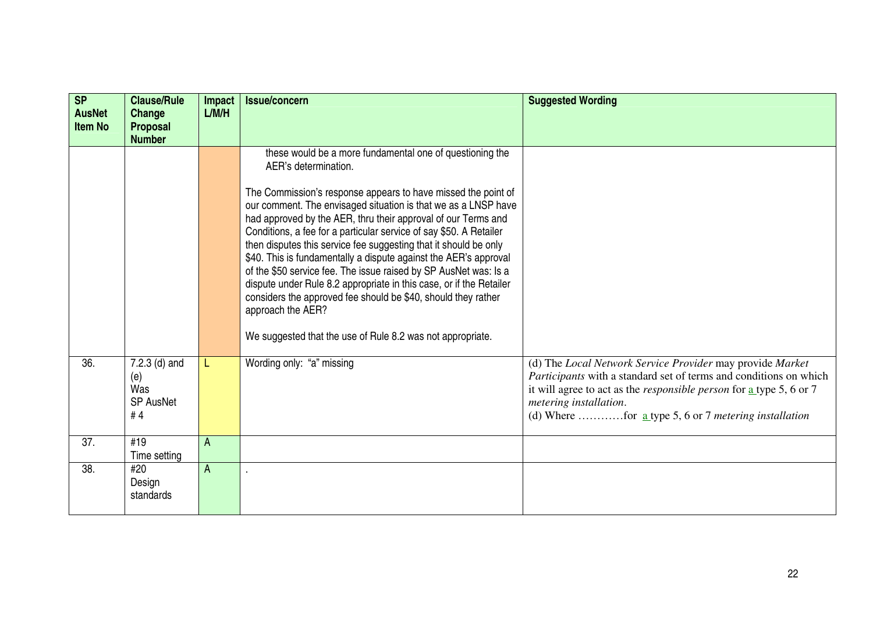| <b>SP</b><br><b>AusNet</b><br><b>Item No</b> | <b>Clause/Rule</b><br>Change<br><b>Proposal</b>       | <b>Impact</b><br>L/M/H | Issue/concern                                                                                                                                                                                                                                                                                                                                                                                                                                                                                                                                                                                                                                                                                                 | <b>Suggested Wording</b>                                                                                                                                                                                                                                                                                                 |
|----------------------------------------------|-------------------------------------------------------|------------------------|---------------------------------------------------------------------------------------------------------------------------------------------------------------------------------------------------------------------------------------------------------------------------------------------------------------------------------------------------------------------------------------------------------------------------------------------------------------------------------------------------------------------------------------------------------------------------------------------------------------------------------------------------------------------------------------------------------------|--------------------------------------------------------------------------------------------------------------------------------------------------------------------------------------------------------------------------------------------------------------------------------------------------------------------------|
|                                              | <b>Number</b>                                         |                        |                                                                                                                                                                                                                                                                                                                                                                                                                                                                                                                                                                                                                                                                                                               |                                                                                                                                                                                                                                                                                                                          |
|                                              |                                                       |                        | these would be a more fundamental one of questioning the<br>AER's determination.                                                                                                                                                                                                                                                                                                                                                                                                                                                                                                                                                                                                                              |                                                                                                                                                                                                                                                                                                                          |
|                                              |                                                       |                        | The Commission's response appears to have missed the point of<br>our comment. The envisaged situation is that we as a LNSP have<br>had approved by the AER, thru their approval of our Terms and<br>Conditions, a fee for a particular service of say \$50. A Retailer<br>then disputes this service fee suggesting that it should be only<br>\$40. This is fundamentally a dispute against the AER's approval<br>of the \$50 service fee. The issue raised by SP AusNet was: Is a<br>dispute under Rule 8.2 appropriate in this case, or if the Retailer<br>considers the approved fee should be \$40, should they rather<br>approach the AER?<br>We suggested that the use of Rule 8.2 was not appropriate. |                                                                                                                                                                                                                                                                                                                          |
| 36.                                          | 7.2.3 (d) and<br>(e)<br>Was<br><b>SP AusNet</b><br>#4 | L                      | Wording only: "a" missing                                                                                                                                                                                                                                                                                                                                                                                                                                                                                                                                                                                                                                                                                     | (d) The Local Network Service Provider may provide Market<br>Participants with a standard set of terms and conditions on which<br>it will agree to act as the <i>responsible person</i> for $\frac{a}{b}$ type 5, 6 or 7<br>metering installation.<br>(d) Where for <u>a</u> type 5, 6 or 7 <i>metering installation</i> |
| 37.                                          | #19<br>Time setting                                   | A                      |                                                                                                                                                                                                                                                                                                                                                                                                                                                                                                                                                                                                                                                                                                               |                                                                                                                                                                                                                                                                                                                          |
| 38.                                          | #20<br>Design<br>standards                            | A                      |                                                                                                                                                                                                                                                                                                                                                                                                                                                                                                                                                                                                                                                                                                               |                                                                                                                                                                                                                                                                                                                          |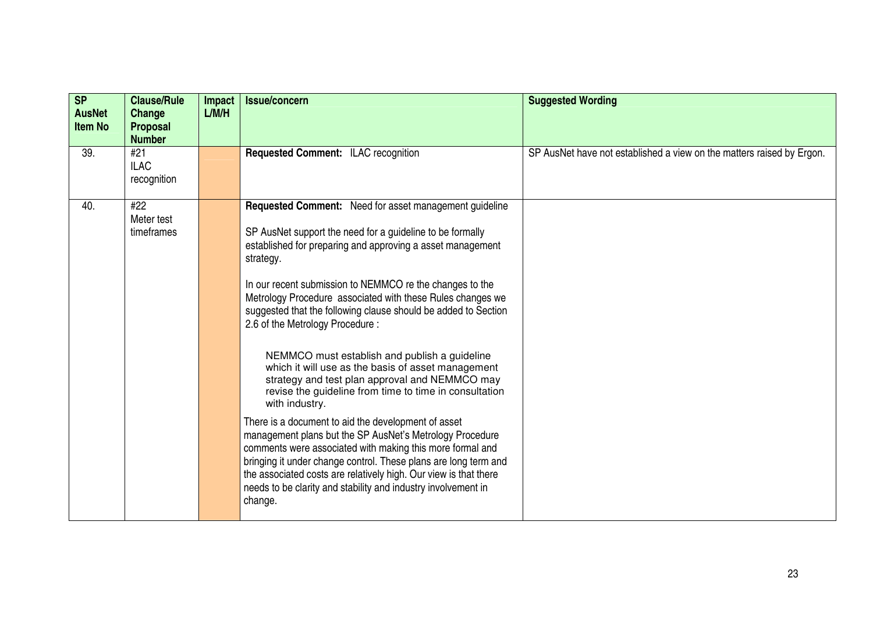| <b>SP</b><br><b>AusNet</b><br><b>Item No</b> | <b>Clause/Rule</b><br>Change<br><b>Proposal</b><br><b>Number</b> | Impact<br>L/M/H | <b>Issue/concern</b>                                                                                                                                                                                                                                                                                                                                                                                                                                                                                                                                                                                                                                                                                                                                                                                                                                                                                                                                                                                                                                                  | <b>Suggested Wording</b>                                              |
|----------------------------------------------|------------------------------------------------------------------|-----------------|-----------------------------------------------------------------------------------------------------------------------------------------------------------------------------------------------------------------------------------------------------------------------------------------------------------------------------------------------------------------------------------------------------------------------------------------------------------------------------------------------------------------------------------------------------------------------------------------------------------------------------------------------------------------------------------------------------------------------------------------------------------------------------------------------------------------------------------------------------------------------------------------------------------------------------------------------------------------------------------------------------------------------------------------------------------------------|-----------------------------------------------------------------------|
| 39.                                          | #21<br><b>ILAC</b><br>recognition                                |                 | <b>Requested Comment: ILAC recognition</b>                                                                                                                                                                                                                                                                                                                                                                                                                                                                                                                                                                                                                                                                                                                                                                                                                                                                                                                                                                                                                            | SP AusNet have not established a view on the matters raised by Ergon. |
| 40.                                          | #22<br>Meter test<br>timeframes                                  |                 | Requested Comment: Need for asset management guideline<br>SP AusNet support the need for a guideline to be formally<br>established for preparing and approving a asset management<br>strategy.<br>In our recent submission to NEMMCO re the changes to the<br>Metrology Procedure associated with these Rules changes we<br>suggested that the following clause should be added to Section<br>2.6 of the Metrology Procedure:<br>NEMMCO must establish and publish a guideline<br>which it will use as the basis of asset management<br>strategy and test plan approval and NEMMCO may<br>revise the guideline from time to time in consultation<br>with industry.<br>There is a document to aid the development of asset<br>management plans but the SP AusNet's Metrology Procedure<br>comments were associated with making this more formal and<br>bringing it under change control. These plans are long term and<br>the associated costs are relatively high. Our view is that there<br>needs to be clarity and stability and industry involvement in<br>change. |                                                                       |